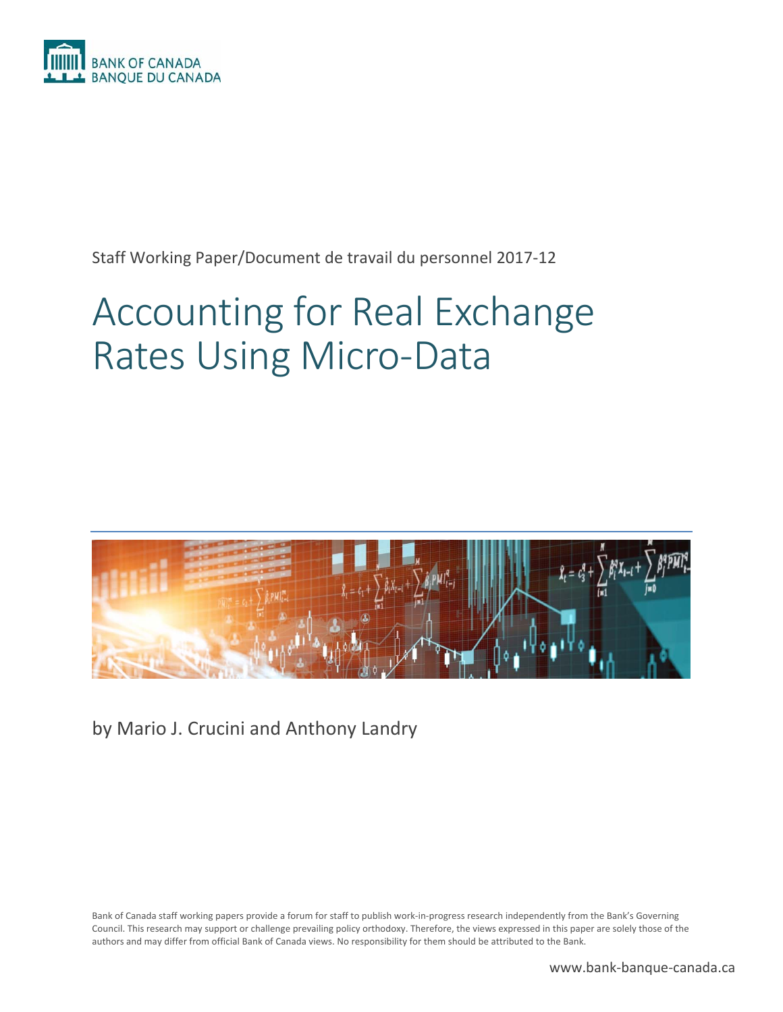

Staff Working Paper/Document de travail du personnel 2017‐12

# Accounting for Real Exchange Rates Using Micro‐Data



by Mario J. Crucini and Anthony Landry

Bank of Canada staff working papers provide a forum for staff to publish work‐in‐progress research independently from the Bank's Governing Council. This research may support or challenge prevailing policy orthodoxy. Therefore, the views expressed in this paper are solely those of the authors and may differ from official Bank of Canada views. No responsibility for them should be attributed to the Bank.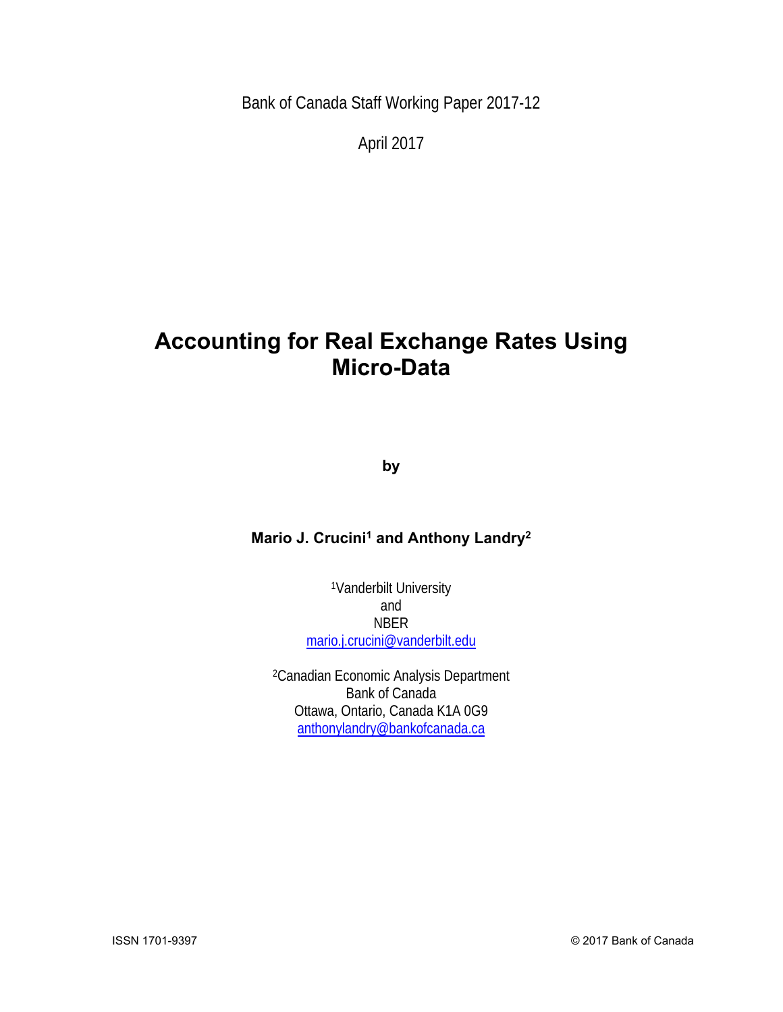Bank of Canada Staff Working Paper 2017-12

April 2017

## **Accounting for Real Exchange Rates Using Micro-Data**

**by** 

## **Mario J. Crucini<sup>1</sup> and Anthony Landry<sup>2</sup>**

1Vanderbilt University and NBER mario.j.crucini@vanderbilt.edu

 2Canadian Economic Analysis Department Bank of Canada Ottawa, Ontario, Canada K1A 0G9 anthonylandry@bankofcanada.ca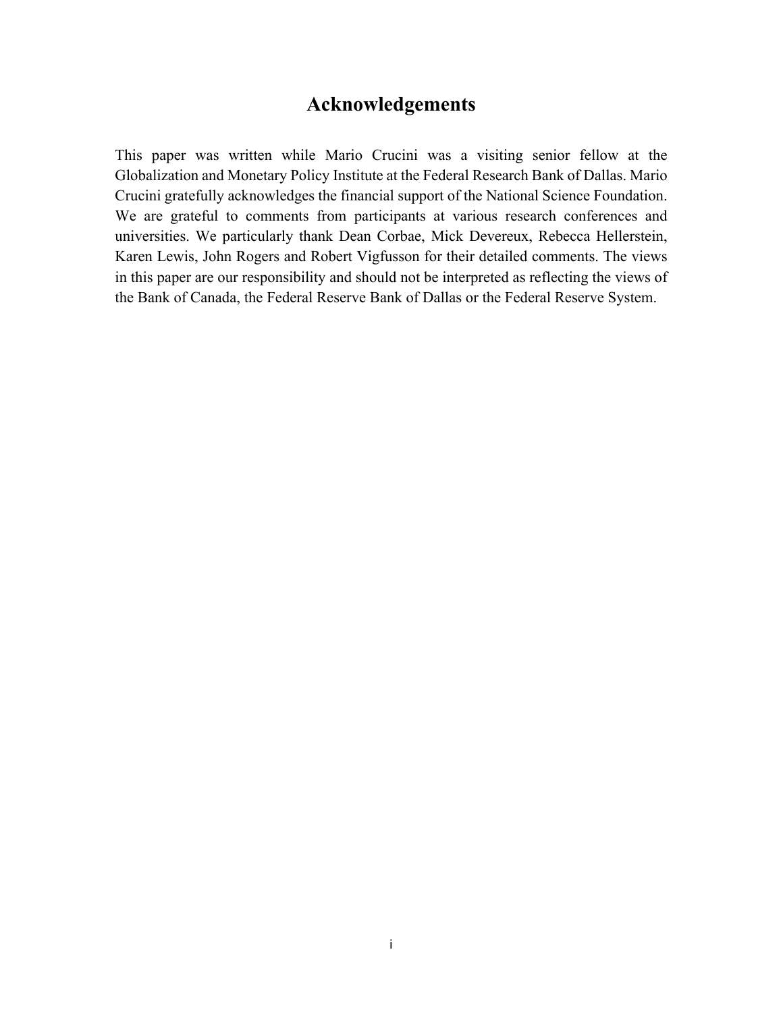## **Acknowledgements**

This paper was written while Mario Crucini was a visiting senior fellow at the Globalization and Monetary Policy Institute at the Federal Research Bank of Dallas. Mario Crucini gratefully acknowledges the financial support of the National Science Foundation. We are grateful to comments from participants at various research conferences and universities. We particularly thank Dean Corbae, Mick Devereux, Rebecca Hellerstein, Karen Lewis, John Rogers and Robert Vigfusson for their detailed comments. The views in this paper are our responsibility and should not be interpreted as reflecting the views of the Bank of Canada, the Federal Reserve Bank of Dallas or the Federal Reserve System.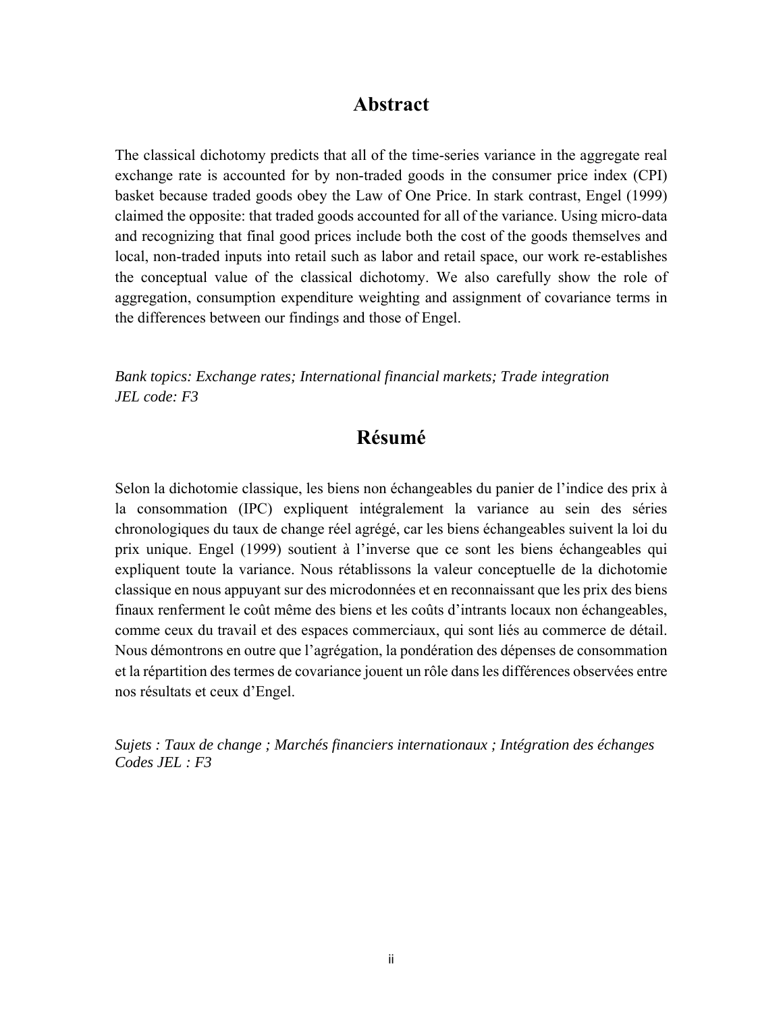## **Abstract**

The classical dichotomy predicts that all of the time-series variance in the aggregate real exchange rate is accounted for by non-traded goods in the consumer price index (CPI) basket because traded goods obey the Law of One Price. In stark contrast, Engel (1999) claimed the opposite: that traded goods accounted for all of the variance. Using micro-data and recognizing that final good prices include both the cost of the goods themselves and local, non-traded inputs into retail such as labor and retail space, our work re-establishes the conceptual value of the classical dichotomy. We also carefully show the role of aggregation, consumption expenditure weighting and assignment of covariance terms in the differences between our findings and those of Engel.

*Bank topics: Exchange rates; International financial markets; Trade integration JEL code: F3* 

## **Résumé**

Selon la dichotomie classique, les biens non échangeables du panier de l'indice des prix à la consommation (IPC) expliquent intégralement la variance au sein des séries chronologiques du taux de change réel agrégé, car les biens échangeables suivent la loi du prix unique. Engel (1999) soutient à l'inverse que ce sont les biens échangeables qui expliquent toute la variance. Nous rétablissons la valeur conceptuelle de la dichotomie classique en nous appuyant sur des microdonnées et en reconnaissant que les prix des biens finaux renferment le coût même des biens et les coûts d'intrants locaux non échangeables, comme ceux du travail et des espaces commerciaux, qui sont liés au commerce de détail. Nous démontrons en outre que l'agrégation, la pondération des dépenses de consommation et la répartition des termes de covariance jouent un rôle dans les différences observées entre nos résultats et ceux d'Engel.

*Sujets : Taux de change ; Marchés financiers internationaux ; Intégration des échanges Codes JEL : F3*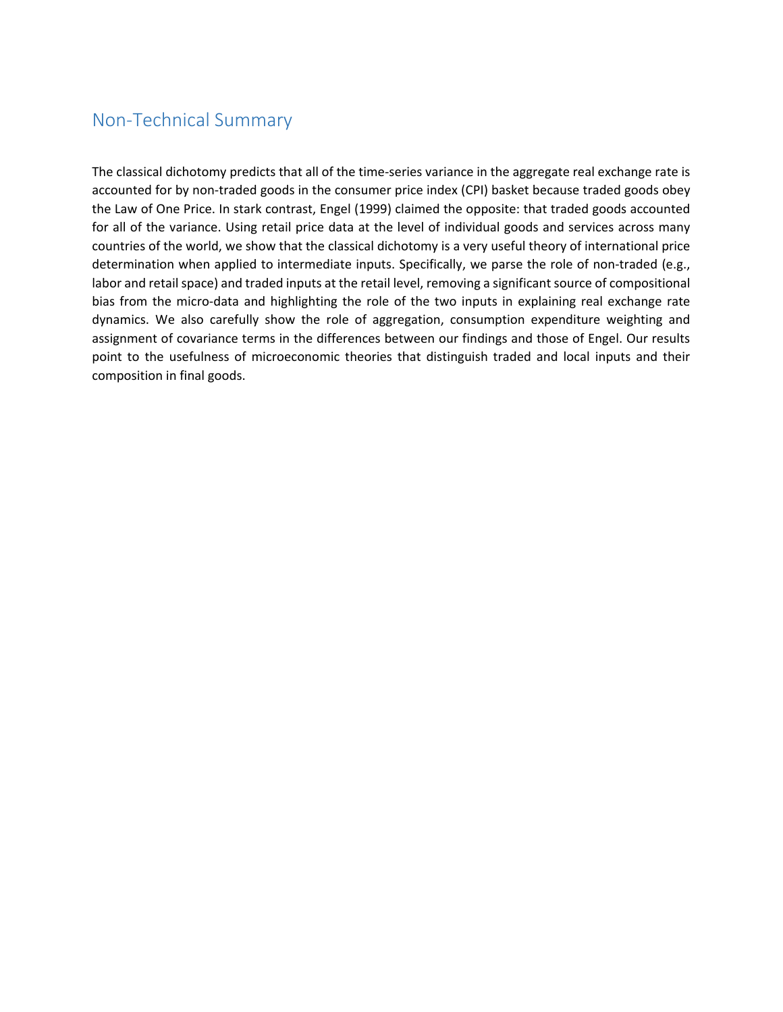## Non‐Technical Summary

The classical dichotomy predicts that all of the time-series variance in the aggregate real exchange rate is accounted for by non-traded goods in the consumer price index (CPI) basket because traded goods obey the Law of One Price. In stark contrast, Engel (1999) claimed the opposite: that traded goods accounted for all of the variance. Using retail price data at the level of individual goods and services across many countries of the world, we show that the classical dichotomy is a very useful theory of international price determination when applied to intermediate inputs. Specifically, we parse the role of non-traded (e.g., labor and retail space) and traded inputs at the retail level, removing a significant source of compositional bias from the micro-data and highlighting the role of the two inputs in explaining real exchange rate dynamics. We also carefully show the role of aggregation, consumption expenditure weighting and assignment of covariance terms in the differences between our findings and those of Engel. Our results point to the usefulness of microeconomic theories that distinguish traded and local inputs and their composition in final goods.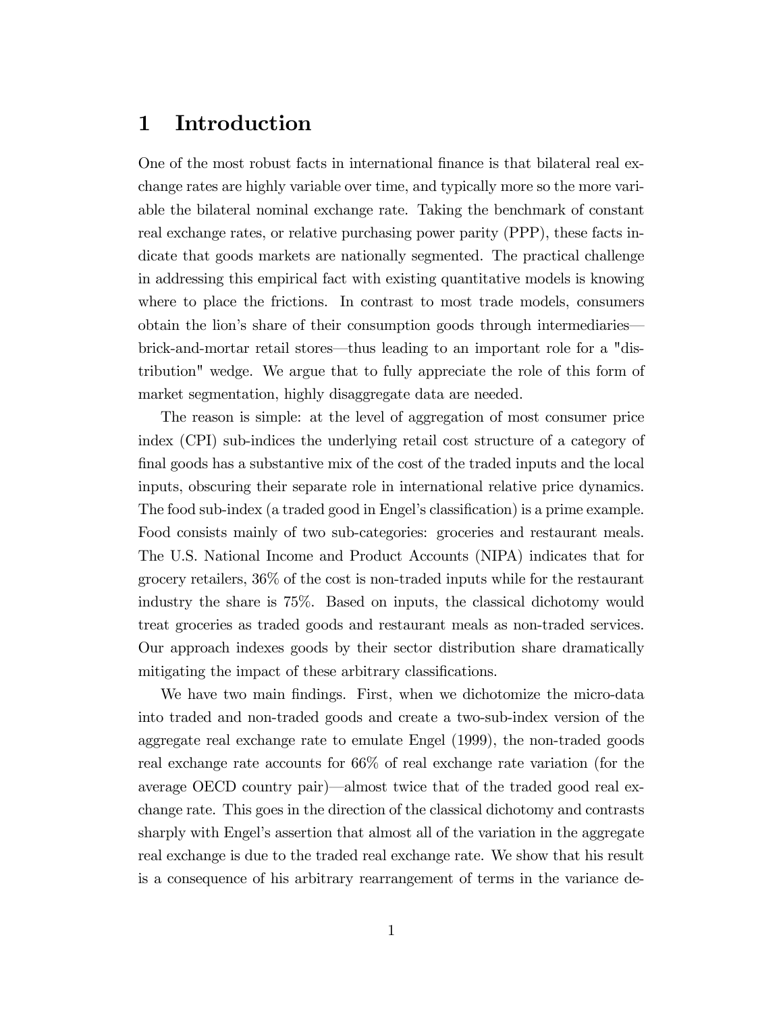## 1 Introduction

One of the most robust facts in international finance is that bilateral real exchange rates are highly variable over time, and typically more so the more variable the bilateral nominal exchange rate. Taking the benchmark of constant real exchange rates, or relative purchasing power parity (PPP), these facts indicate that goods markets are nationally segmented. The practical challenge in addressing this empirical fact with existing quantitative models is knowing where to place the frictions. In contrast to most trade models, consumers obtain the lion's share of their consumption goods through intermediaries brick-and-mortar retail stores—thus leading to an important role for a "distribution" wedge. We argue that to fully appreciate the role of this form of market segmentation, highly disaggregate data are needed.

The reason is simple: at the level of aggregation of most consumer price index (CPI) sub-indices the underlying retail cost structure of a category of final goods has a substantive mix of the cost of the traded inputs and the local inputs, obscuring their separate role in international relative price dynamics. The food sub-index (a traded good in Engel's classification) is a prime example. Food consists mainly of two sub-categories: groceries and restaurant meals. The U.S. National Income and Product Accounts (NIPA) indicates that for grocery retailers, 36% of the cost is non-traded inputs while for the restaurant industry the share is 75%. Based on inputs, the classical dichotomy would treat groceries as traded goods and restaurant meals as non-traded services. Our approach indexes goods by their sector distribution share dramatically mitigating the impact of these arbitrary classifications.

We have two main findings. First, when we dichotomize the micro-data into traded and non-traded goods and create a two-sub-index version of the aggregate real exchange rate to emulate Engel (1999), the non-traded goods real exchange rate accounts for 66% of real exchange rate variation (for the average OECD country pair)—almost twice that of the traded good real exchange rate. This goes in the direction of the classical dichotomy and contrasts sharply with Engel's assertion that almost all of the variation in the aggregate real exchange is due to the traded real exchange rate. We show that his result is a consequence of his arbitrary rearrangement of terms in the variance de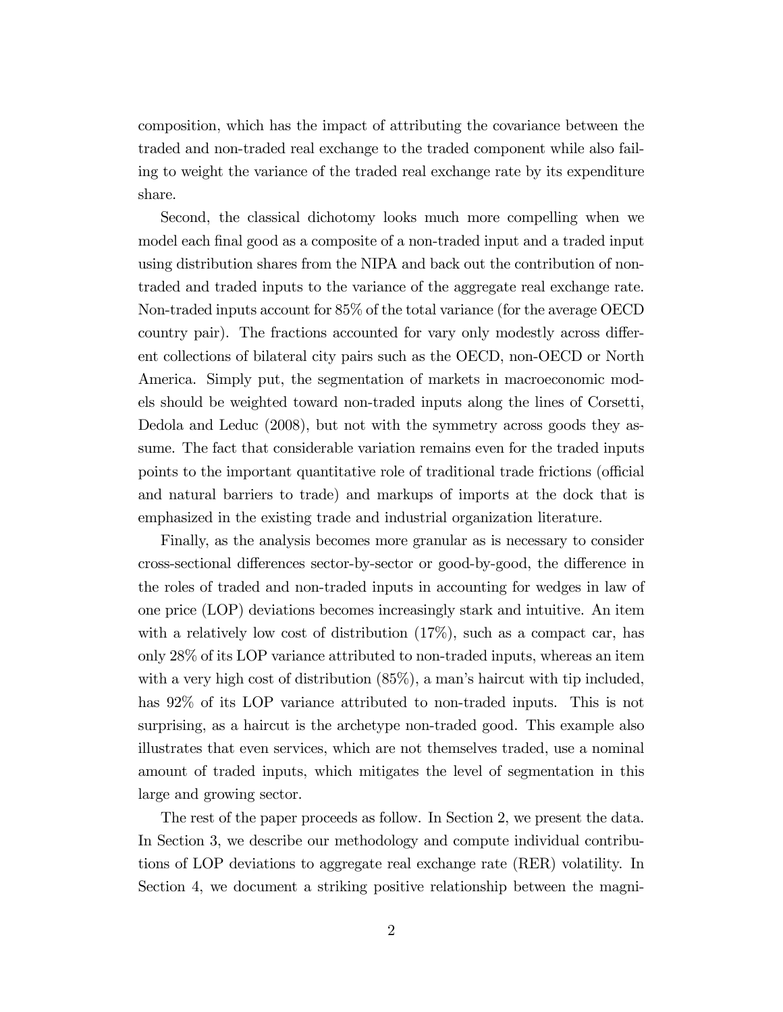composition, which has the impact of attributing the covariance between the traded and non-traded real exchange to the traded component while also failing to weight the variance of the traded real exchange rate by its expenditure share.

Second, the classical dichotomy looks much more compelling when we model each final good as a composite of a non-traded input and a traded input using distribution shares from the NIPA and back out the contribution of nontraded and traded inputs to the variance of the aggregate real exchange rate. Non-traded inputs account for 85% of the total variance (for the average OECD country pair). The fractions accounted for vary only modestly across different collections of bilateral city pairs such as the OECD, non-OECD or North America. Simply put, the segmentation of markets in macroeconomic models should be weighted toward non-traded inputs along the lines of Corsetti, Dedola and Leduc (2008), but not with the symmetry across goods they assume. The fact that considerable variation remains even for the traded inputs points to the important quantitative role of traditional trade frictions (official and natural barriers to trade) and markups of imports at the dock that is emphasized in the existing trade and industrial organization literature.

Finally, as the analysis becomes more granular as is necessary to consider cross-sectional differences sector-by-sector or good-by-good, the difference in the roles of traded and non-traded inputs in accounting for wedges in law of one price (LOP) deviations becomes increasingly stark and intuitive. An item with a relatively low cost of distribution  $(17\%)$ , such as a compact car, has only 28% of its LOP variance attributed to non-traded inputs, whereas an item with a very high cost of distribution  $(85\%)$ , a man's haircut with tip included, has  $92\%$  of its LOP variance attributed to non-traded inputs. This is not surprising, as a haircut is the archetype non-traded good. This example also illustrates that even services, which are not themselves traded, use a nominal amount of traded inputs, which mitigates the level of segmentation in this large and growing sector.

The rest of the paper proceeds as follow. In Section 2, we present the data. In Section 3, we describe our methodology and compute individual contributions of LOP deviations to aggregate real exchange rate (RER) volatility. In Section 4, we document a striking positive relationship between the magni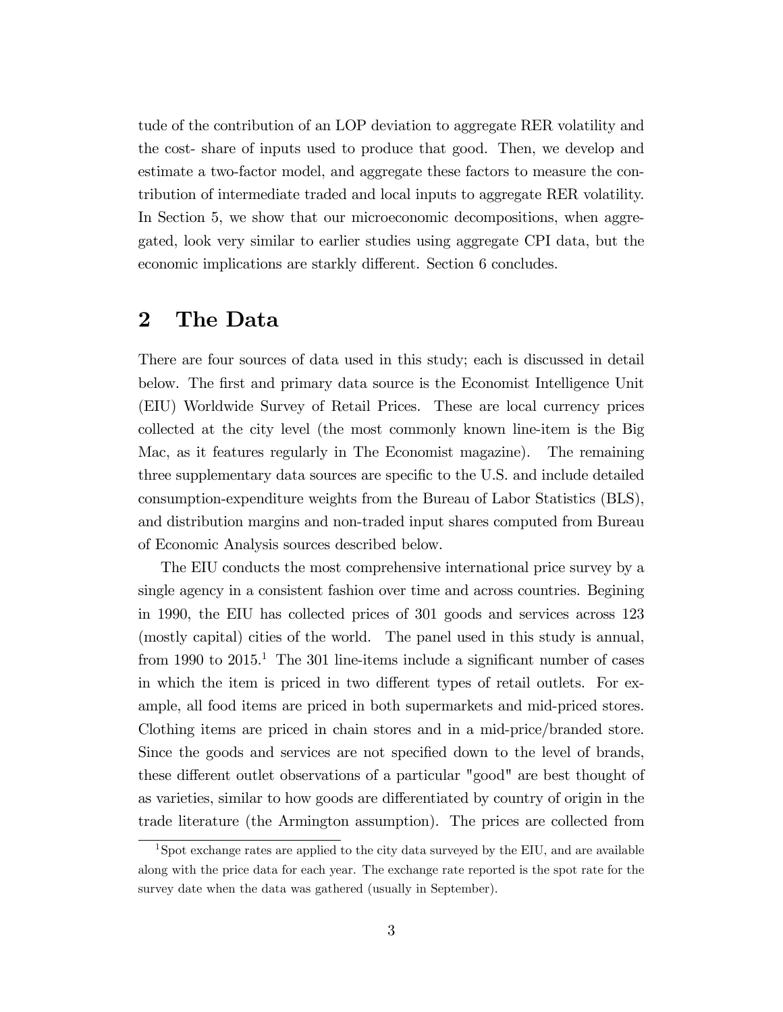tude of the contribution of an LOP deviation to aggregate RER volatility and the cost- share of inputs used to produce that good. Then, we develop and estimate a two-factor model, and aggregate these factors to measure the contribution of intermediate traded and local inputs to aggregate RER volatility. In Section 5, we show that our microeconomic decompositions, when aggregated, look very similar to earlier studies using aggregate CPI data, but the economic implications are starkly different. Section 6 concludes.

## 2 The Data

There are four sources of data used in this study; each is discussed in detail below. The first and primary data source is the Economist Intelligence Unit (EIU) Worldwide Survey of Retail Prices. These are local currency prices collected at the city level (the most commonly known line-item is the Big Mac, as it features regularly in The Economist magazine). The remaining three supplementary data sources are specific to the U.S. and include detailed consumption-expenditure weights from the Bureau of Labor Statistics (BLS), and distribution margins and non-traded input shares computed from Bureau of Economic Analysis sources described below.

The EIU conducts the most comprehensive international price survey by a single agency in a consistent fashion over time and across countries. Begining in 1990, the EIU has collected prices of 301 goods and services across 123 (mostly capital) cities of the world. The panel used in this study is annual, from 1990 to  $2015<sup>1</sup>$ . The 301 line-items include a significant number of cases in which the item is priced in two different types of retail outlets. For example, all food items are priced in both supermarkets and mid-priced stores. Clothing items are priced in chain stores and in a mid-price/branded store. Since the goods and services are not specified down to the level of brands, these different outlet observations of a particular "good" are best thought of as varieties, similar to how goods are differentiated by country of origin in the trade literature (the Armington assumption). The prices are collected from

<sup>&</sup>lt;sup>1</sup>Spot exchange rates are applied to the city data surveyed by the EIU, and are available along with the price data for each year. The exchange rate reported is the spot rate for the survey date when the data was gathered (usually in September).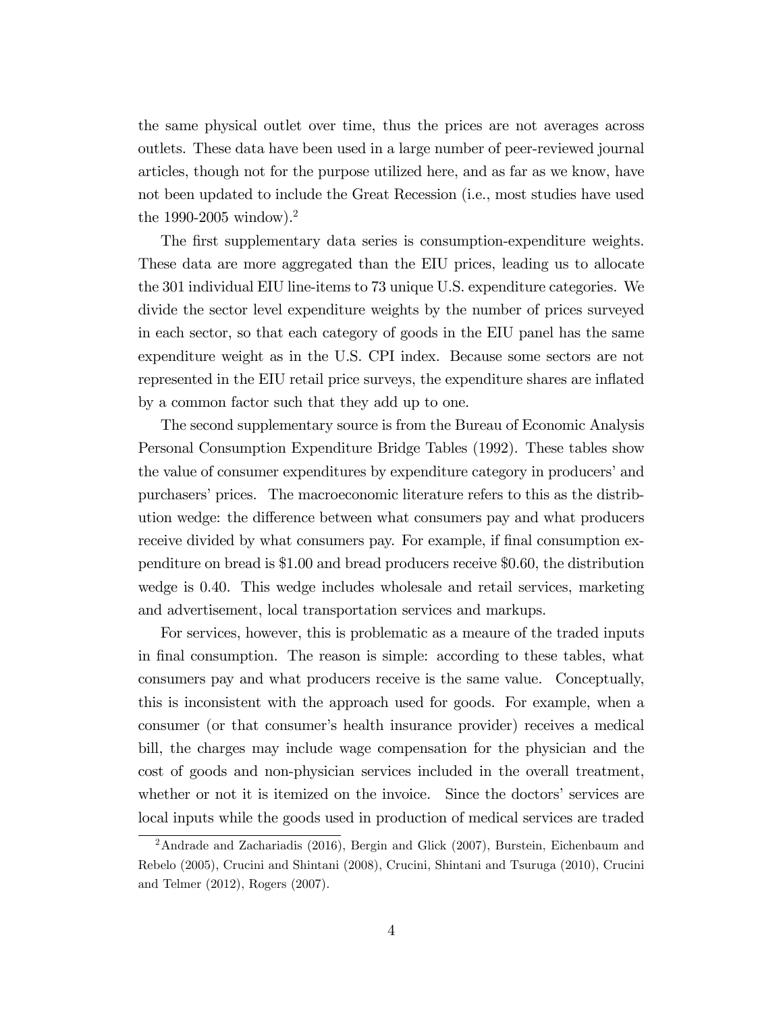the same physical outlet over time, thus the prices are not averages across outlets. These data have been used in a large number of peer-reviewed journal articles, though not for the purpose utilized here, and as far as we know, have not been updated to include the Great Recession (i.e., most studies have used the 1990-2005 window).<sup>2</sup>

The first supplementary data series is consumption-expenditure weights. These data are more aggregated than the EIU prices, leading us to allocate the 301 individual EIU line-items to 73 unique U.S. expenditure categories. We divide the sector level expenditure weights by the number of prices surveyed in each sector, so that each category of goods in the EIU panel has the same expenditure weight as in the U.S. CPI index. Because some sectors are not represented in the EIU retail price surveys, the expenditure shares are inflated by a common factor such that they add up to one.

The second supplementary source is from the Bureau of Economic Analysis Personal Consumption Expenditure Bridge Tables (1992). These tables show the value of consumer expenditures by expenditure category in producers' and purchasers' prices. The macroeconomic literature refers to this as the distribution wedge: the difference between what consumers pay and what producers receive divided by what consumers pay. For example, if final consumption expenditure on bread is \$1.00 and bread producers receive \$0.60, the distribution wedge is 0.40. This wedge includes wholesale and retail services, marketing and advertisement, local transportation services and markups.

For services, however, this is problematic as a meaure of the traded inputs in final consumption. The reason is simple: according to these tables, what consumers pay and what producers receive is the same value. Conceptually, this is inconsistent with the approach used for goods. For example, when a consumer (or that consumer's health insurance provider) receives a medical bill, the charges may include wage compensation for the physician and the cost of goods and non-physician services included in the overall treatment, whether or not it is itemized on the invoice. Since the doctors' services are local inputs while the goods used in production of medical services are traded

<sup>2</sup>Andrade and Zachariadis (2016), Bergin and Glick (2007), Burstein, Eichenbaum and Rebelo (2005), Crucini and Shintani (2008), Crucini, Shintani and Tsuruga (2010), Crucini and Telmer (2012), Rogers (2007).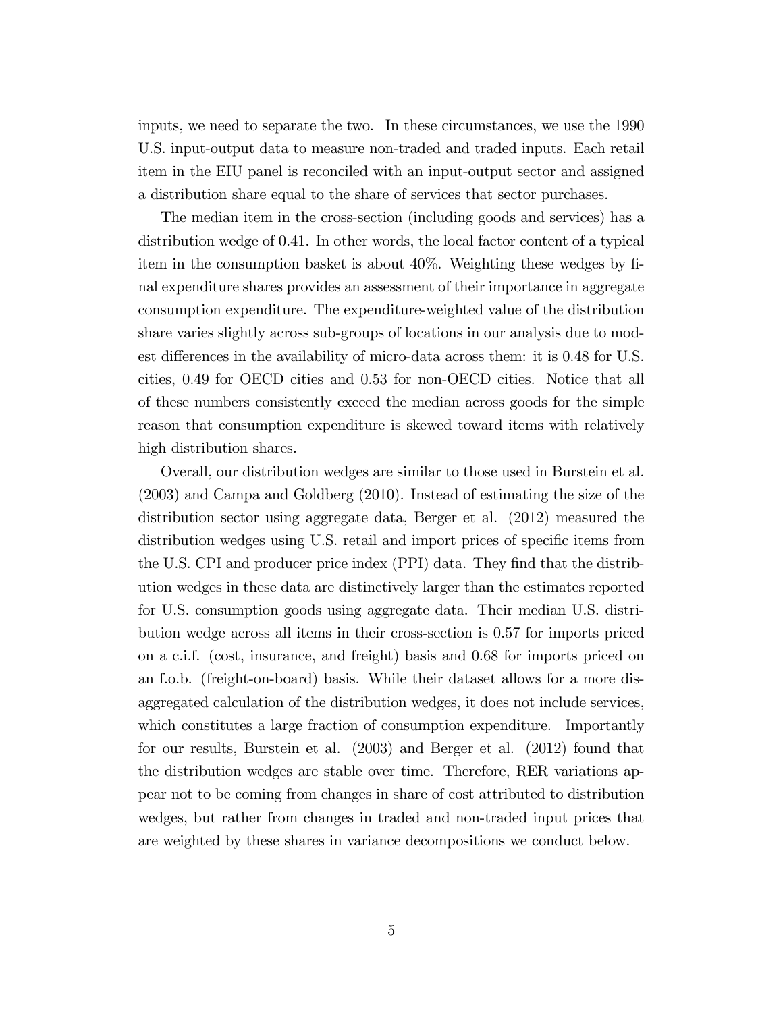inputs, we need to separate the two. In these circumstances, we use the 1990 U.S. input-output data to measure non-traded and traded inputs. Each retail item in the EIU panel is reconciled with an input-output sector and assigned a distribution share equal to the share of services that sector purchases.

The median item in the cross-section (including goods and services) has a distribution wedge of 0.41. In other words, the local factor content of a typical item in the consumption basket is about 40%. Weighting these wedges by Önal expenditure shares provides an assessment of their importance in aggregate consumption expenditure. The expenditure-weighted value of the distribution share varies slightly across sub-groups of locations in our analysis due to modest differences in the availability of micro-data across them: it is 0.48 for U.S. cities, 0.49 for OECD cities and 0.53 for non-OECD cities. Notice that all of these numbers consistently exceed the median across goods for the simple reason that consumption expenditure is skewed toward items with relatively high distribution shares.

Overall, our distribution wedges are similar to those used in Burstein et al. (2003) and Campa and Goldberg (2010). Instead of estimating the size of the distribution sector using aggregate data, Berger et al. (2012) measured the distribution wedges using U.S. retail and import prices of specific items from the U.S. CPI and producer price index (PPI) data. They find that the distribution wedges in these data are distinctively larger than the estimates reported for U.S. consumption goods using aggregate data. Their median U.S. distribution wedge across all items in their cross-section is 0.57 for imports priced on a c.i.f. (cost, insurance, and freight) basis and 0.68 for imports priced on an f.o.b. (freight-on-board) basis. While their dataset allows for a more disaggregated calculation of the distribution wedges, it does not include services, which constitutes a large fraction of consumption expenditure. Importantly for our results, Burstein et al. (2003) and Berger et al. (2012) found that the distribution wedges are stable over time. Therefore, RER variations appear not to be coming from changes in share of cost attributed to distribution wedges, but rather from changes in traded and non-traded input prices that are weighted by these shares in variance decompositions we conduct below.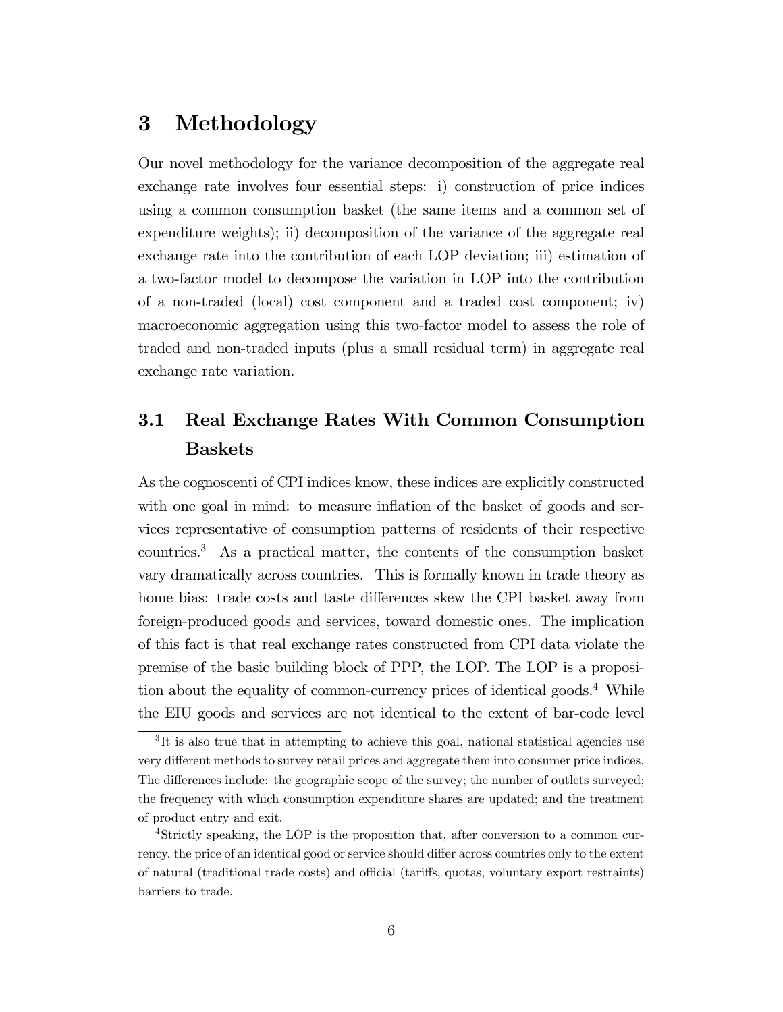## 3 Methodology

Our novel methodology for the variance decomposition of the aggregate real exchange rate involves four essential steps: i) construction of price indices using a common consumption basket (the same items and a common set of expenditure weights); ii) decomposition of the variance of the aggregate real exchange rate into the contribution of each LOP deviation; iii) estimation of a two-factor model to decompose the variation in LOP into the contribution of a non-traded (local) cost component and a traded cost component; iv) macroeconomic aggregation using this two-factor model to assess the role of traded and non-traded inputs (plus a small residual term) in aggregate real exchange rate variation.

## 3.1 Real Exchange Rates With Common Consumption Baskets

As the cognoscenti of CPI indices know, these indices are explicitly constructed with one goal in mind: to measure inflation of the basket of goods and services representative of consumption patterns of residents of their respective countries.<sup>3</sup> As a practical matter, the contents of the consumption basket vary dramatically across countries. This is formally known in trade theory as home bias: trade costs and taste differences skew the CPI basket away from foreign-produced goods and services, toward domestic ones. The implication of this fact is that real exchange rates constructed from CPI data violate the premise of the basic building block of PPP, the LOP. The LOP is a proposition about the equality of common-currency prices of identical goods.<sup>4</sup> While the EIU goods and services are not identical to the extent of bar-code level

<sup>&</sup>lt;sup>3</sup>It is also true that in attempting to achieve this goal, national statistical agencies use very different methods to survey retail prices and aggregate them into consumer price indices. The differences include: the geographic scope of the survey; the number of outlets surveyed; the frequency with which consumption expenditure shares are updated; and the treatment of product entry and exit.

<sup>4</sup>Strictly speaking, the LOP is the proposition that, after conversion to a common currency, the price of an identical good or service should differ across countries only to the extent of natural (traditional trade costs) and official (tariffs, quotas, voluntary export restraints) barriers to trade.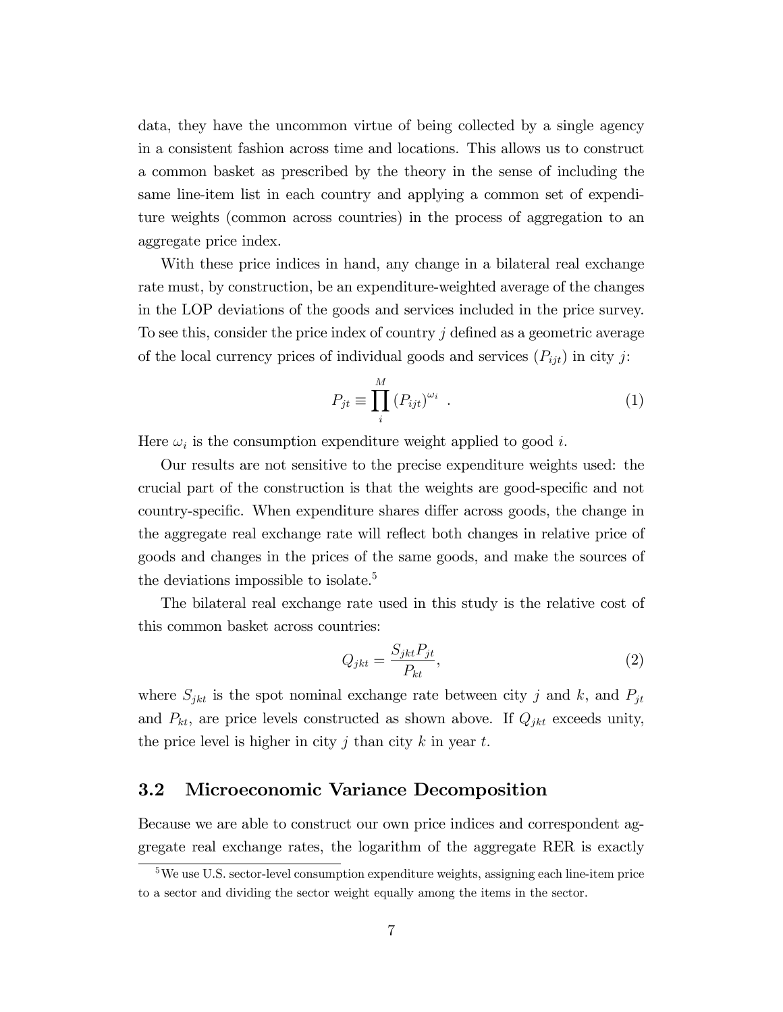data, they have the uncommon virtue of being collected by a single agency in a consistent fashion across time and locations. This allows us to construct a common basket as prescribed by the theory in the sense of including the same line-item list in each country and applying a common set of expenditure weights (common across countries) in the process of aggregation to an aggregate price index.

With these price indices in hand, any change in a bilateral real exchange rate must, by construction, be an expenditure-weighted average of the changes in the LOP deviations of the goods and services included in the price survey. To see this, consider the price index of country  $j$  defined as a geometric average of the local currency prices of individual goods and services  $(P_{ijt})$  in city j:

$$
P_{jt} \equiv \prod_{i}^{M} \left( P_{ijt} \right)^{\omega_i} \tag{1}
$$

Here  $\omega_i$  is the consumption expenditure weight applied to good *i*.

Our results are not sensitive to the precise expenditure weights used: the crucial part of the construction is that the weights are good-specific and not country-specific. When expenditure shares differ across goods, the change in the aggregate real exchange rate will reflect both changes in relative price of goods and changes in the prices of the same goods, and make the sources of the deviations impossible to isolate.<sup>5</sup>

The bilateral real exchange rate used in this study is the relative cost of this common basket across countries:

$$
Q_{jkt} = \frac{S_{jkt}P_{jt}}{P_{kt}},\tag{2}
$$

where  $S_{jkt}$  is the spot nominal exchange rate between city j and k, and  $P_{jt}$ and  $P_{kt}$ , are price levels constructed as shown above. If  $Q_{jkt}$  exceeds unity, the price level is higher in city j than city k in year t.

#### 3.2 Microeconomic Variance Decomposition

Because we are able to construct our own price indices and correspondent aggregate real exchange rates, the logarithm of the aggregate RER is exactly

<sup>5</sup>We use U.S. sector-level consumption expenditure weights, assigning each line-item price to a sector and dividing the sector weight equally among the items in the sector.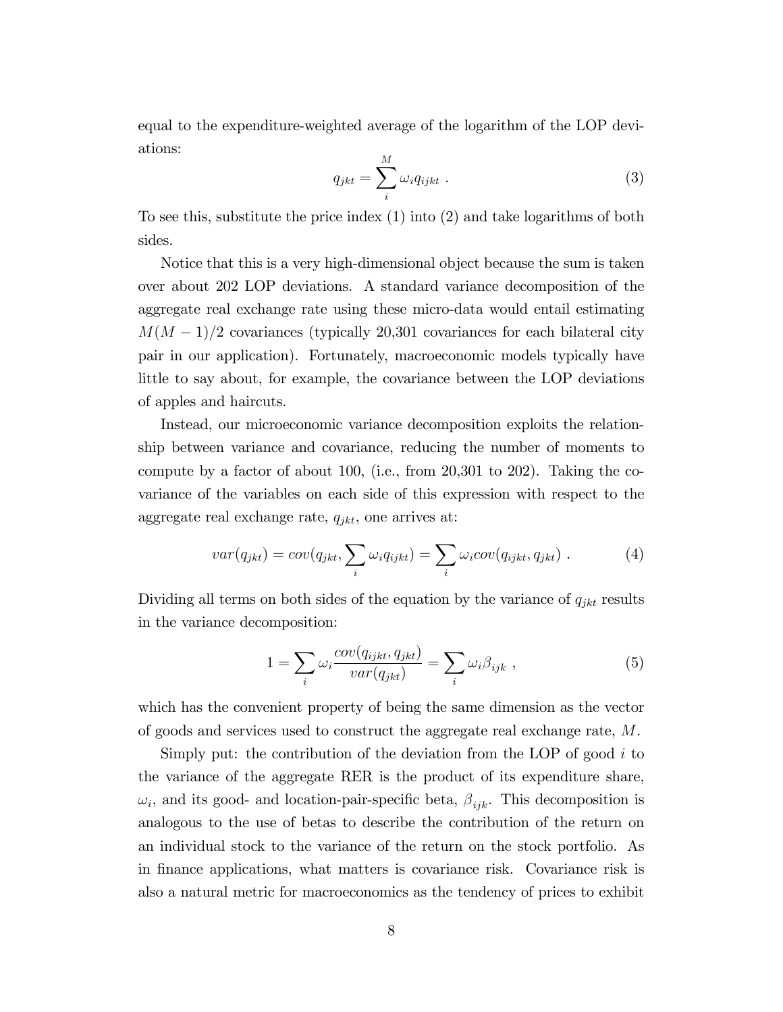equal to the expenditure-weighted average of the logarithm of the LOP deviations:  $\overline{M}$ 

$$
q_{jkt} = \sum_{i}^{M} \omega_i q_{ijkt} . \qquad (3)
$$

To see this, substitute the price index (1) into (2) and take logarithms of both sides.

Notice that this is a very high-dimensional object because the sum is taken over about 202 LOP deviations. A standard variance decomposition of the aggregate real exchange rate using these micro-data would entail estimating  $M(M-1)/2$  covariances (typically 20,301 covariances for each bilateral city pair in our application). Fortunately, macroeconomic models typically have little to say about, for example, the covariance between the LOP deviations of apples and haircuts.

Instead, our microeconomic variance decomposition exploits the relationship between variance and covariance, reducing the number of moments to compute by a factor of about 100, (i.e., from 20,301 to 202). Taking the covariance of the variables on each side of this expression with respect to the aggregate real exchange rate,  $q_{jkt}$ , one arrives at:

$$
var(q_{jkt}) = cov(q_{jkt}, \sum_{i} \omega_i q_{ijkt}) = \sum_{i} \omega_i cov(q_{ijkt}, q_{jkt}). \qquad (4)
$$

Dividing all terms on both sides of the equation by the variance of  $q_{jkt}$  results in the variance decomposition:

$$
1 = \sum_{i} \omega_i \frac{cov(q_{ijkt}, q_{jkt})}{var(q_{jkt})} = \sum_{i} \omega_i \beta_{ijk} , \qquad (5)
$$

which has the convenient property of being the same dimension as the vector of goods and services used to construct the aggregate real exchange rate, M.

Simply put: the contribution of the deviation from the LOP of good  $i$  to the variance of the aggregate RER is the product of its expenditure share,  $\omega_i$ , and its good- and location-pair-specific beta,  $\beta_{ijk}$ . This decomposition is analogous to the use of betas to describe the contribution of the return on an individual stock to the variance of the return on the stock portfolio. As in Önance applications, what matters is covariance risk. Covariance risk is also a natural metric for macroeconomics as the tendency of prices to exhibit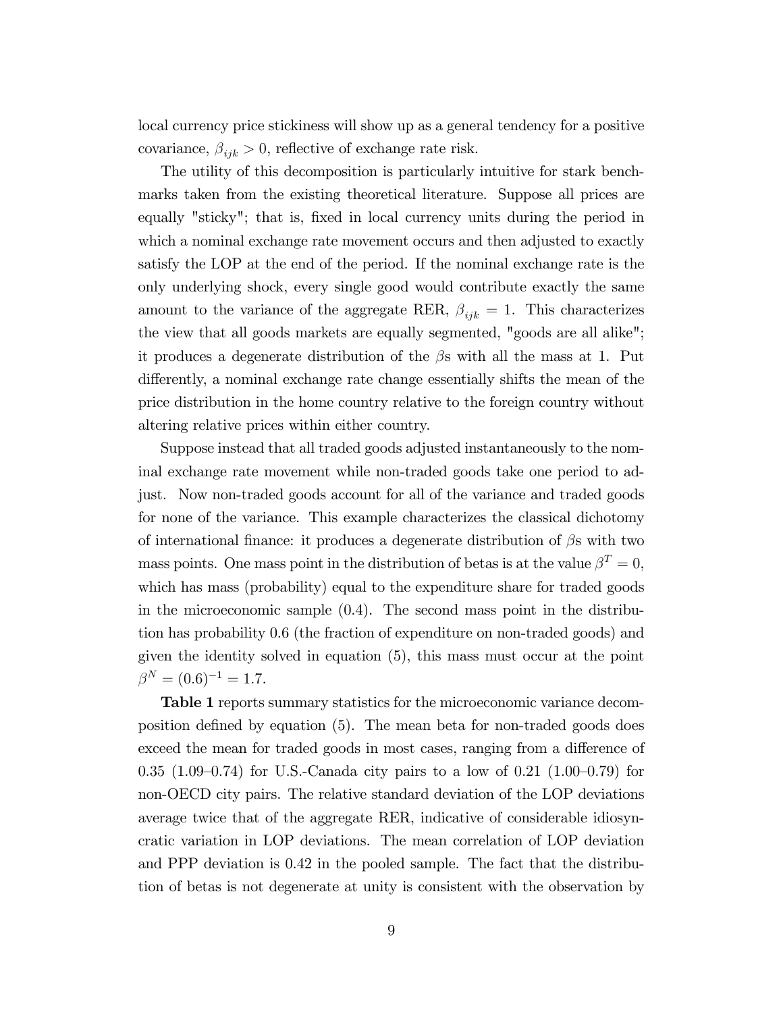local currency price stickiness will show up as a general tendency for a positive covariance,  $\beta_{ijk} > 0$ , reflective of exchange rate risk.

The utility of this decomposition is particularly intuitive for stark benchmarks taken from the existing theoretical literature. Suppose all prices are equally "sticky"; that is, fixed in local currency units during the period in which a nominal exchange rate movement occurs and then adjusted to exactly satisfy the LOP at the end of the period. If the nominal exchange rate is the only underlying shock, every single good would contribute exactly the same amount to the variance of the aggregate RER,  $\beta_{ijk} = 1$ . This characterizes the view that all goods markets are equally segmented, "goods are all alike"; it produces a degenerate distribution of the  $\beta$ s with all the mass at 1. Put differently, a nominal exchange rate change essentially shifts the mean of the price distribution in the home country relative to the foreign country without altering relative prices within either country.

Suppose instead that all traded goods adjusted instantaneously to the nominal exchange rate movement while non-traded goods take one period to adjust. Now non-traded goods account for all of the variance and traded goods for none of the variance. This example characterizes the classical dichotomy of international finance: it produces a degenerate distribution of  $\beta$ s with two mass points. One mass point in the distribution of betas is at the value  $\beta^T = 0$ , which has mass (probability) equal to the expenditure share for traded goods in the microeconomic sample (0.4). The second mass point in the distribution has probability 0.6 (the fraction of expenditure on non-traded goods) and given the identity solved in equation (5), this mass must occur at the point  $\beta^N = (0.6)^{-1} = 1.7.$ 

Table 1 reports summary statistics for the microeconomic variance decomposition defined by equation (5). The mean beta for non-traded goods does exceed the mean for traded goods in most cases, ranging from a difference of 0.35 (1.09–0.74) for U.S.-Canada city pairs to a low of 0.21 (1.00–0.79) for non-OECD city pairs. The relative standard deviation of the LOP deviations average twice that of the aggregate RER, indicative of considerable idiosyncratic variation in LOP deviations. The mean correlation of LOP deviation and PPP deviation is 0.42 in the pooled sample. The fact that the distribution of betas is not degenerate at unity is consistent with the observation by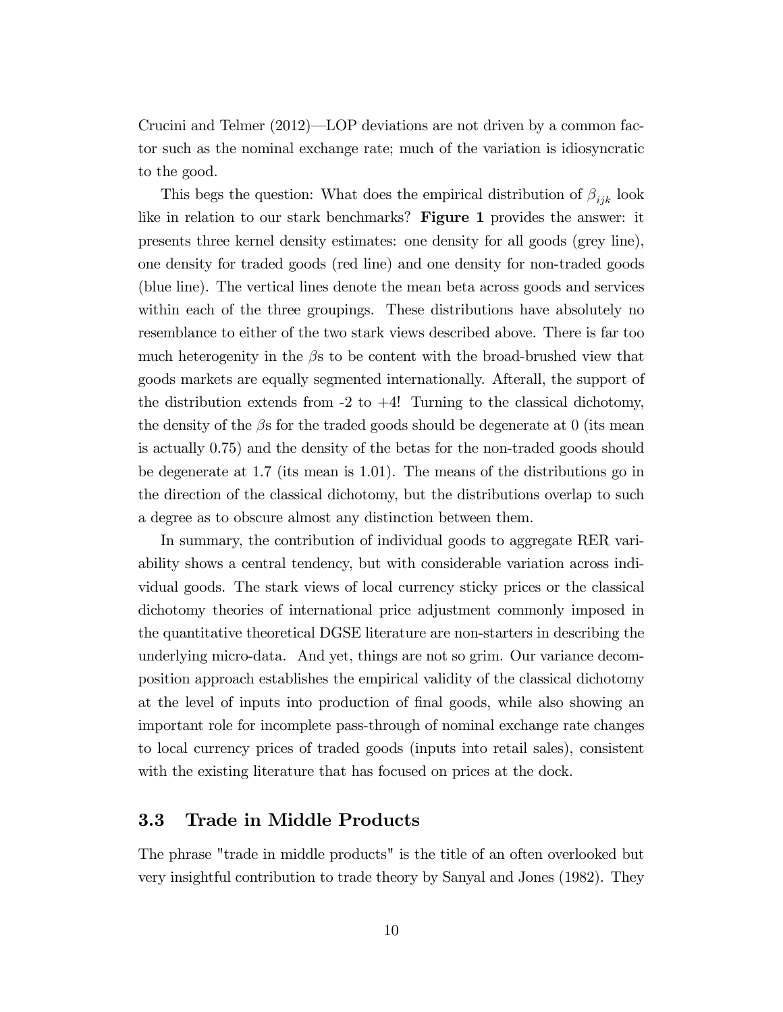Crucini and Telmer  $(2012)$ —LOP deviations are not driven by a common factor such as the nominal exchange rate; much of the variation is idiosyncratic to the good.

This begs the question: What does the empirical distribution of  $\beta_{ijk}$  look like in relation to our stark benchmarks? Figure 1 provides the answer: it presents three kernel density estimates: one density for all goods (grey line), one density for traded goods (red line) and one density for non-traded goods (blue line). The vertical lines denote the mean beta across goods and services within each of the three groupings. These distributions have absolutely no resemblance to either of the two stark views described above. There is far too much heterogenity in the  $\beta$ s to be content with the broad-brushed view that goods markets are equally segmented internationally. Afterall, the support of the distribution extends from  $-2$  to  $+4$ ! Turning to the classical dichotomy, the density of the  $\beta$ s for the traded goods should be degenerate at 0 (its mean is actually 0.75) and the density of the betas for the non-traded goods should be degenerate at 1.7 (its mean is 1.01). The means of the distributions go in the direction of the classical dichotomy, but the distributions overlap to such a degree as to obscure almost any distinction between them.

In summary, the contribution of individual goods to aggregate RER variability shows a central tendency, but with considerable variation across individual goods. The stark views of local currency sticky prices or the classical dichotomy theories of international price adjustment commonly imposed in the quantitative theoretical DGSE literature are non-starters in describing the underlying micro-data. And yet, things are not so grim. Our variance decomposition approach establishes the empirical validity of the classical dichotomy at the level of inputs into production of final goods, while also showing an important role for incomplete pass-through of nominal exchange rate changes to local currency prices of traded goods (inputs into retail sales), consistent with the existing literature that has focused on prices at the dock.

#### 3.3 Trade in Middle Products

The phrase "trade in middle products" is the title of an often overlooked but very insightful contribution to trade theory by Sanyal and Jones (1982). They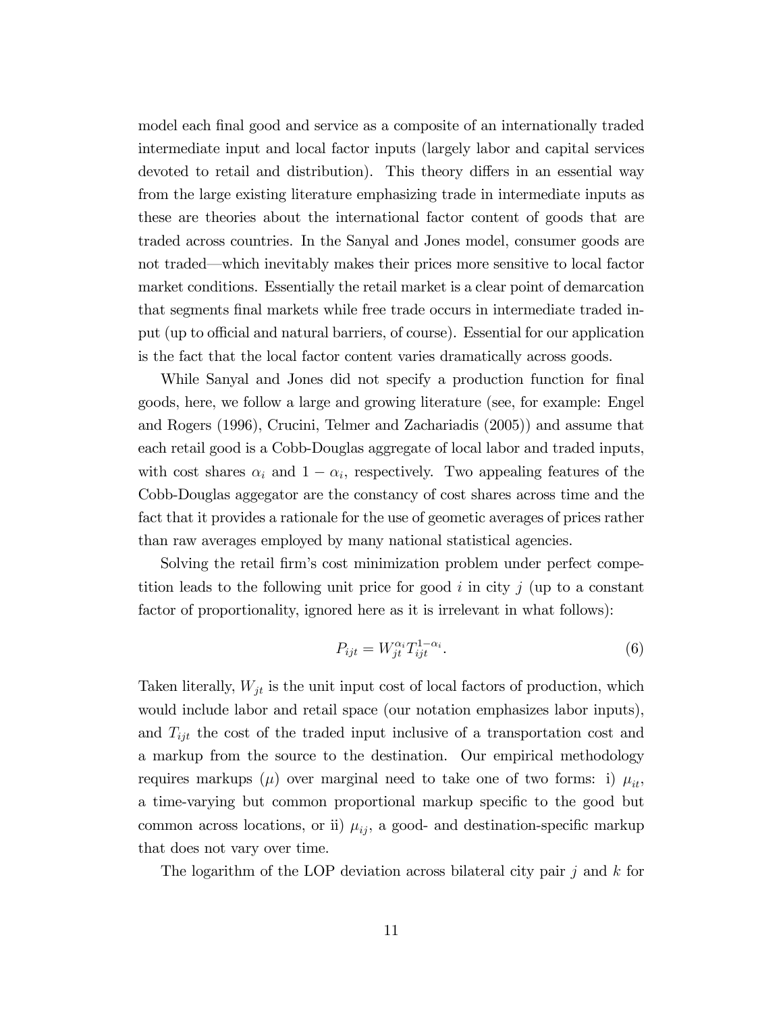model each final good and service as a composite of an internationally traded intermediate input and local factor inputs (largely labor and capital services devoted to retail and distribution). This theory differs in an essential way from the large existing literature emphasizing trade in intermediate inputs as these are theories about the international factor content of goods that are traded across countries. In the Sanyal and Jones model, consumer goods are not traded—which inevitably makes their prices more sensitive to local factor market conditions. Essentially the retail market is a clear point of demarcation that segments Önal markets while free trade occurs in intermediate traded input (up to official and natural barriers, of course). Essential for our application is the fact that the local factor content varies dramatically across goods.

While Sanyal and Jones did not specify a production function for final goods, here, we follow a large and growing literature (see, for example: Engel and Rogers (1996), Crucini, Telmer and Zachariadis (2005)) and assume that each retail good is a Cobb-Douglas aggregate of local labor and traded inputs, with cost shares  $\alpha_i$  and  $1 - \alpha_i$ , respectively. Two appealing features of the Cobb-Douglas aggegator are the constancy of cost shares across time and the fact that it provides a rationale for the use of geometic averages of prices rather than raw averages employed by many national statistical agencies.

Solving the retail firm's cost minimization problem under perfect competition leads to the following unit price for good  $i$  in city  $j$  (up to a constant factor of proportionality, ignored here as it is irrelevant in what follows):

$$
P_{ijt} = W_{jt}^{\alpha_i} T_{ijt}^{1-\alpha_i}.
$$
\n
$$
\tag{6}
$$

Taken literally,  $W_{jt}$  is the unit input cost of local factors of production, which would include labor and retail space (our notation emphasizes labor inputs), and  $T_{ijt}$  the cost of the traded input inclusive of a transportation cost and a markup from the source to the destination. Our empirical methodology requires markups ( $\mu$ ) over marginal need to take one of two forms: i)  $\mu_{it}$ , a time-varying but common proportional markup specific to the good but common across locations, or ii)  $\mu_{ij}$ , a good- and destination-specific markup that does not vary over time.

The logarithm of the LOP deviation across bilateral city pair  $j$  and  $k$  for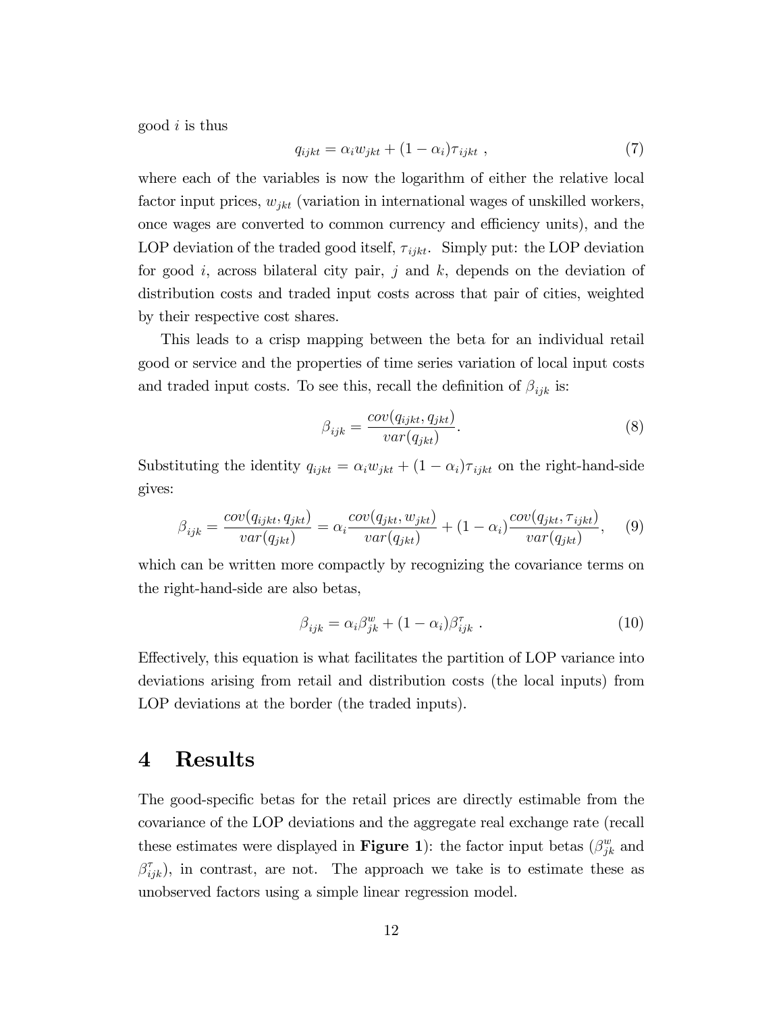good  $i$  is thus

$$
q_{ijkt} = \alpha_i w_{jkt} + (1 - \alpha_i) \tau_{ijkt} , \qquad (7)
$$

where each of the variables is now the logarithm of either the relative local factor input prices,  $w_{jkt}$  (variation in international wages of unskilled workers, once wages are converted to common currency and efficiency units), and the LOP deviation of the traded good itself,  $\tau_{i j k t}$ . Simply put: the LOP deviation for good i, across bilateral city pair, j and k, depends on the deviation of distribution costs and traded input costs across that pair of cities, weighted by their respective cost shares.

This leads to a crisp mapping between the beta for an individual retail good or service and the properties of time series variation of local input costs and traded input costs. To see this, recall the definition of  $\beta_{ijk}$  is:

$$
\beta_{ijk} = \frac{cov(q_{ijkt}, q_{jkt})}{var(q_{jkt})}.
$$
\n(8)

Substituting the identity  $q_{ijkt} = \alpha_i w_{jkt} + (1 - \alpha_i) \tau_{ijkt}$  on the right-hand-side gives:

$$
\beta_{ijk} = \frac{cov(q_{ijkt}, q_{jkt})}{var(q_{jkt})} = \alpha_i \frac{cov(q_{jkt}, w_{jkt})}{var(q_{jkt})} + (1 - \alpha_i) \frac{cov(q_{jkt}, \tau_{ijkt})}{var(q_{jkt})}, \quad (9)
$$

which can be written more compactly by recognizing the covariance terms on the right-hand-side are also betas,

$$
\beta_{ijk} = \alpha_i \beta_{jk}^w + (1 - \alpha_i) \beta_{ijk}^{\tau} . \qquad (10)
$$

Effectively, this equation is what facilitates the partition of LOP variance into deviations arising from retail and distribution costs (the local inputs) from LOP deviations at the border (the traded inputs).

## 4 Results

The good-specific betas for the retail prices are directly estimable from the covariance of the LOP deviations and the aggregate real exchange rate (recall these estimates were displayed in **Figure 1**): the factor input betas  $(\beta_{jk}^w$  and  $\beta_{ijk}^{\tau}$ ), in contrast, are not. The approach we take is to estimate these as unobserved factors using a simple linear regression model.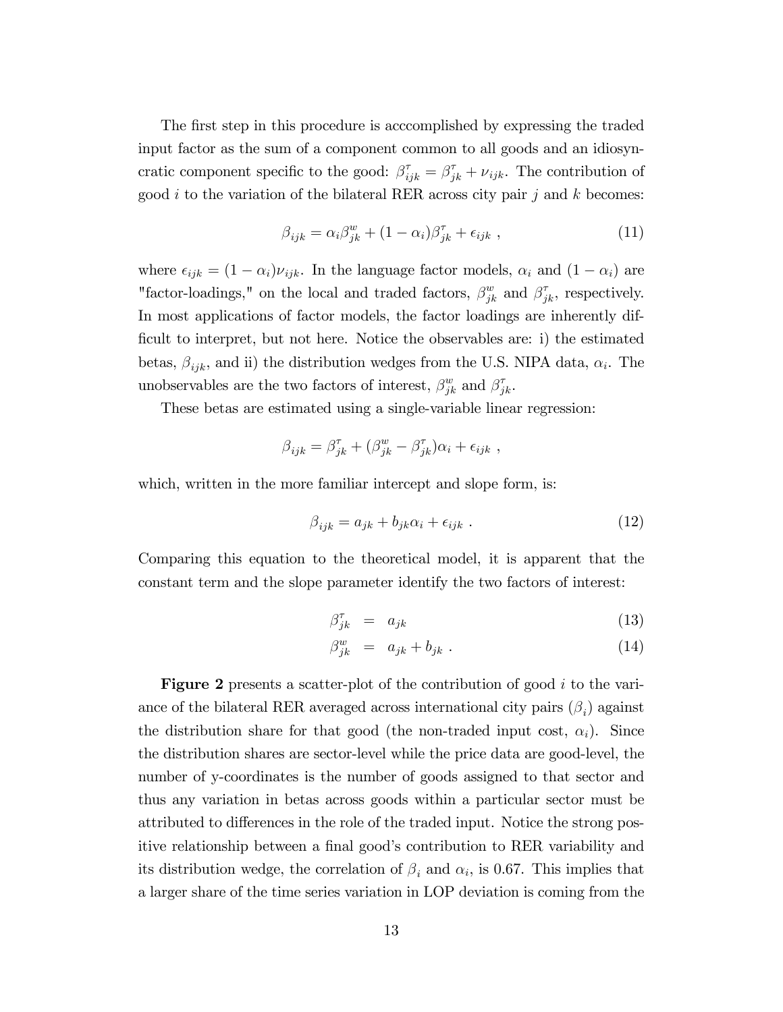The first step in this procedure is acccomplished by expressing the traded input factor as the sum of a component common to all goods and an idiosyncratic component specific to the good:  $\beta_{ijk}^{\tau} = \beta_{jk}^{\tau} + \nu_{ijk}$ . The contribution of good i to the variation of the bilateral RER across city pair j and k becomes:

$$
\beta_{ijk} = \alpha_i \beta_{jk}^w + (1 - \alpha_i) \beta_{jk}^\tau + \epsilon_{ijk} \,, \tag{11}
$$

where  $\epsilon_{ijk} = (1 - \alpha_i)\nu_{ijk}$ . In the language factor models,  $\alpha_i$  and  $(1 - \alpha_i)$  are "factor-loadings," on the local and traded factors,  $\beta_{jk}^w$  and  $\beta_{jk}^{\tau}$ , respectively. In most applications of factor models, the factor loadings are inherently difficult to interpret, but not here. Notice the observables are: i) the estimated betas,  $\beta_{ijk}$ , and ii) the distribution wedges from the U.S. NIPA data,  $\alpha_i$ . The unobservables are the two factors of interest,  $\beta_{jk}^w$  and  $\beta_{jk}^{\tau}$ .

These betas are estimated using a single-variable linear regression:

$$
\beta_{ijk} = \beta_{jk}^{\tau} + (\beta_{jk}^w - \beta_{jk}^{\tau})\alpha_i + \epsilon_{ijk} ,
$$

which, written in the more familiar intercept and slope form, is:

$$
\beta_{ijk} = a_{jk} + b_{jk}\alpha_i + \epsilon_{ijk} \tag{12}
$$

Comparing this equation to the theoretical model, it is apparent that the constant term and the slope parameter identify the two factors of interest:

$$
\beta_{jk}^{\tau} = a_{jk} \tag{13}
$$

$$
\beta_{jk}^w = a_{jk} + b_{jk} \tag{14}
$$

**Figure 2** presents a scatter-plot of the contribution of good  $i$  to the variance of the bilateral RER averaged across international city pairs  $(\beta_i)$  against the distribution share for that good (the non-traded input cost,  $\alpha_i$ ). Since the distribution shares are sector-level while the price data are good-level, the number of y-coordinates is the number of goods assigned to that sector and thus any variation in betas across goods within a particular sector must be attributed to differences in the role of the traded input. Notice the strong positive relationship between a final good's contribution to RER variability and its distribution wedge, the correlation of  $\beta_i$  and  $\alpha_i$ , is 0.67. This implies that a larger share of the time series variation in LOP deviation is coming from the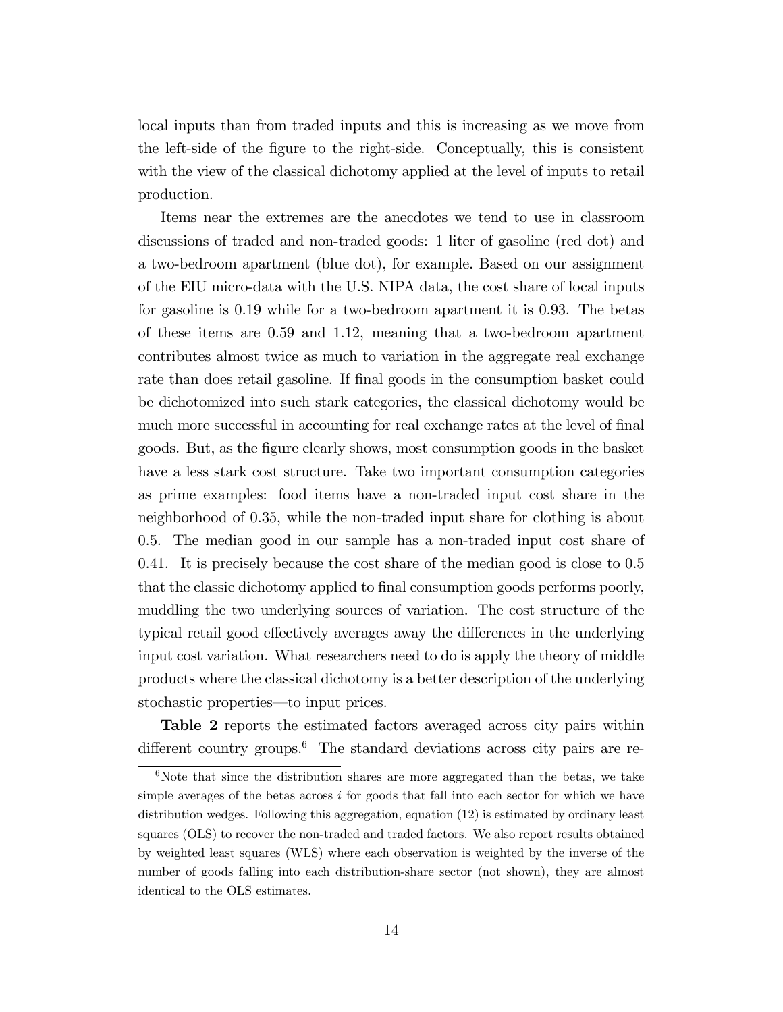local inputs than from traded inputs and this is increasing as we move from the left-side of the figure to the right-side. Conceptually, this is consistent with the view of the classical dichotomy applied at the level of inputs to retail production.

Items near the extremes are the anecdotes we tend to use in classroom discussions of traded and non-traded goods: 1 liter of gasoline (red dot) and a two-bedroom apartment (blue dot), for example. Based on our assignment of the EIU micro-data with the U.S. NIPA data, the cost share of local inputs for gasoline is 0.19 while for a two-bedroom apartment it is 0.93. The betas of these items are 0.59 and 1.12, meaning that a two-bedroom apartment contributes almost twice as much to variation in the aggregate real exchange rate than does retail gasoline. If final goods in the consumption basket could be dichotomized into such stark categories, the classical dichotomy would be much more successful in accounting for real exchange rates at the level of final goods. But, as the Ögure clearly shows, most consumption goods in the basket have a less stark cost structure. Take two important consumption categories as prime examples: food items have a non-traded input cost share in the neighborhood of 0.35, while the non-traded input share for clothing is about 0.5. The median good in our sample has a non-traded input cost share of 0.41. It is precisely because the cost share of the median good is close to 0.5 that the classic dichotomy applied to final consumption goods performs poorly, muddling the two underlying sources of variation. The cost structure of the typical retail good effectively averages away the differences in the underlying input cost variation. What researchers need to do is apply the theory of middle products where the classical dichotomy is a better description of the underlying stochastic properties—to input prices.

Table 2 reports the estimated factors averaged across city pairs within different country groups.<sup>6</sup> The standard deviations across city pairs are re-

 $6$ Note that since the distribution shares are more aggregated than the betas, we take simple averages of the betas across  $i$  for goods that fall into each sector for which we have distribution wedges. Following this aggregation, equation (12) is estimated by ordinary least squares (OLS) to recover the non-traded and traded factors. We also report results obtained by weighted least squares (WLS) where each observation is weighted by the inverse of the number of goods falling into each distribution-share sector (not shown), they are almost identical to the OLS estimates.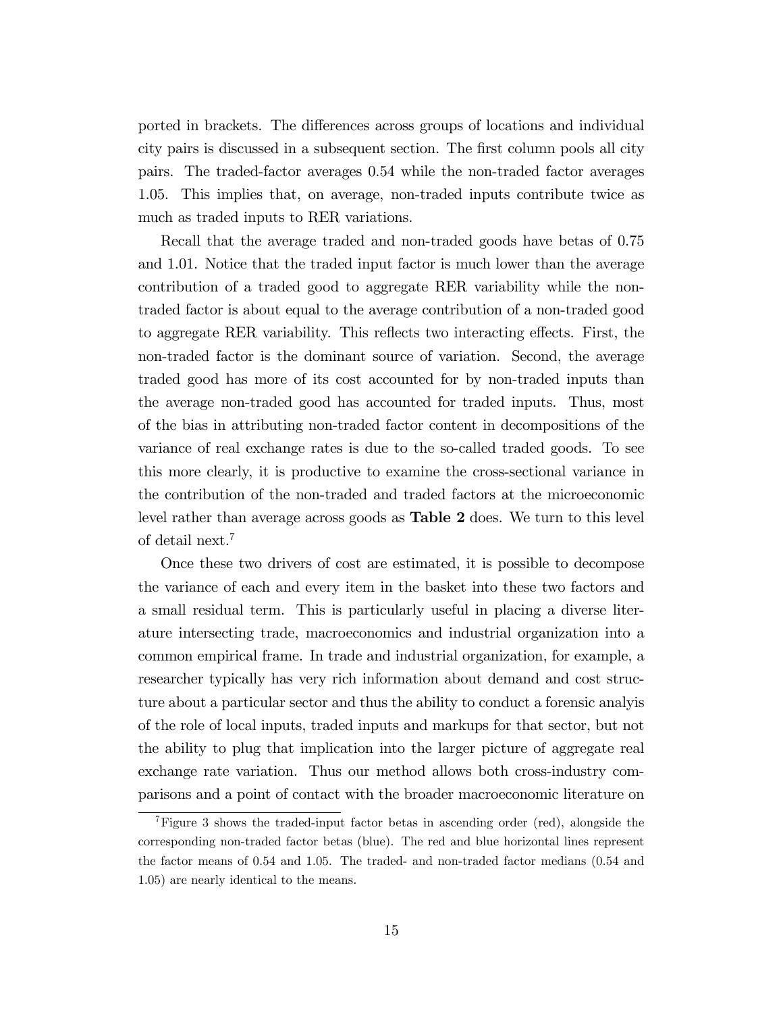ported in brackets. The differences across groups of locations and individual city pairs is discussed in a subsequent section. The first column pools all city pairs. The traded-factor averages 0.54 while the non-traded factor averages 1.05. This implies that, on average, non-traded inputs contribute twice as much as traded inputs to RER variations.

Recall that the average traded and non-traded goods have betas of 0.75 and 1.01. Notice that the traded input factor is much lower than the average contribution of a traded good to aggregate RER variability while the nontraded factor is about equal to the average contribution of a non-traded good to aggregate RER variability. This reflects two interacting effects. First, the non-traded factor is the dominant source of variation. Second, the average traded good has more of its cost accounted for by non-traded inputs than the average non-traded good has accounted for traded inputs. Thus, most of the bias in attributing non-traded factor content in decompositions of the variance of real exchange rates is due to the so-called traded goods. To see this more clearly, it is productive to examine the cross-sectional variance in the contribution of the non-traded and traded factors at the microeconomic level rather than average across goods as Table 2 does. We turn to this level of detail next.<sup>7</sup>

Once these two drivers of cost are estimated, it is possible to decompose the variance of each and every item in the basket into these two factors and a small residual term. This is particularly useful in placing a diverse literature intersecting trade, macroeconomics and industrial organization into a common empirical frame. In trade and industrial organization, for example, a researcher typically has very rich information about demand and cost structure about a particular sector and thus the ability to conduct a forensic analyis of the role of local inputs, traded inputs and markups for that sector, but not the ability to plug that implication into the larger picture of aggregate real exchange rate variation. Thus our method allows both cross-industry comparisons and a point of contact with the broader macroeconomic literature on

<sup>7</sup>Figure 3 shows the traded-input factor betas in ascending order (red), alongside the corresponding non-traded factor betas (blue). The red and blue horizontal lines represent the factor means of 0.54 and 1.05. The traded- and non-traded factor medians (0.54 and 1.05) are nearly identical to the means.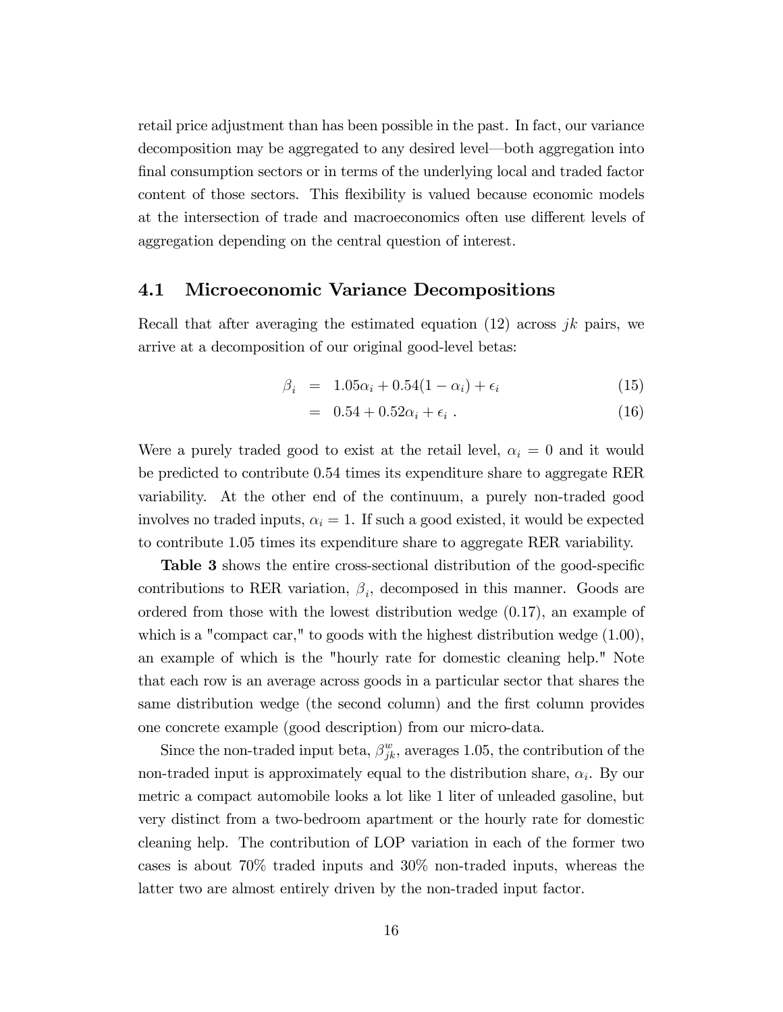retail price adjustment than has been possible in the past. In fact, our variance decomposition may be aggregated to any desired level—both aggregation into final consumption sectors or in terms of the underlying local and traded factor content of those sectors. This flexibility is valued because economic models at the intersection of trade and macroeconomics often use different levels of aggregation depending on the central question of interest.

#### 4.1 Microeconomic Variance Decompositions

Recall that after averaging the estimated equation  $(12)$  across jk pairs, we arrive at a decomposition of our original good-level betas:

$$
\beta_i = 1.05\alpha_i + 0.54(1 - \alpha_i) + \epsilon_i \tag{15}
$$

$$
= 0.54 + 0.52\alpha_i + \epsilon_i \tag{16}
$$

Were a purely traded good to exist at the retail level,  $\alpha_i = 0$  and it would be predicted to contribute 0.54 times its expenditure share to aggregate RER variability. At the other end of the continuum, a purely non-traded good involves no traded inputs,  $\alpha_i = 1$ . If such a good existed, it would be expected to contribute 1.05 times its expenditure share to aggregate RER variability.

**Table 3** shows the entire cross-sectional distribution of the good-specific contributions to RER variation,  $\beta_i$ , decomposed in this manner. Goods are ordered from those with the lowest distribution wedge (0.17), an example of which is a "compact car," to goods with the highest distribution wedge (1.00), an example of which is the "hourly rate for domestic cleaning help." Note that each row is an average across goods in a particular sector that shares the same distribution wedge (the second column) and the first column provides one concrete example (good description) from our micro-data.

Since the non-traded input beta,  $\beta_{jk}^w$ , averages 1.05, the contribution of the non-traded input is approximately equal to the distribution share,  $\alpha_i$ . By our metric a compact automobile looks a lot like 1 liter of unleaded gasoline, but very distinct from a two-bedroom apartment or the hourly rate for domestic cleaning help. The contribution of LOP variation in each of the former two cases is about 70% traded inputs and 30% non-traded inputs, whereas the latter two are almost entirely driven by the non-traded input factor.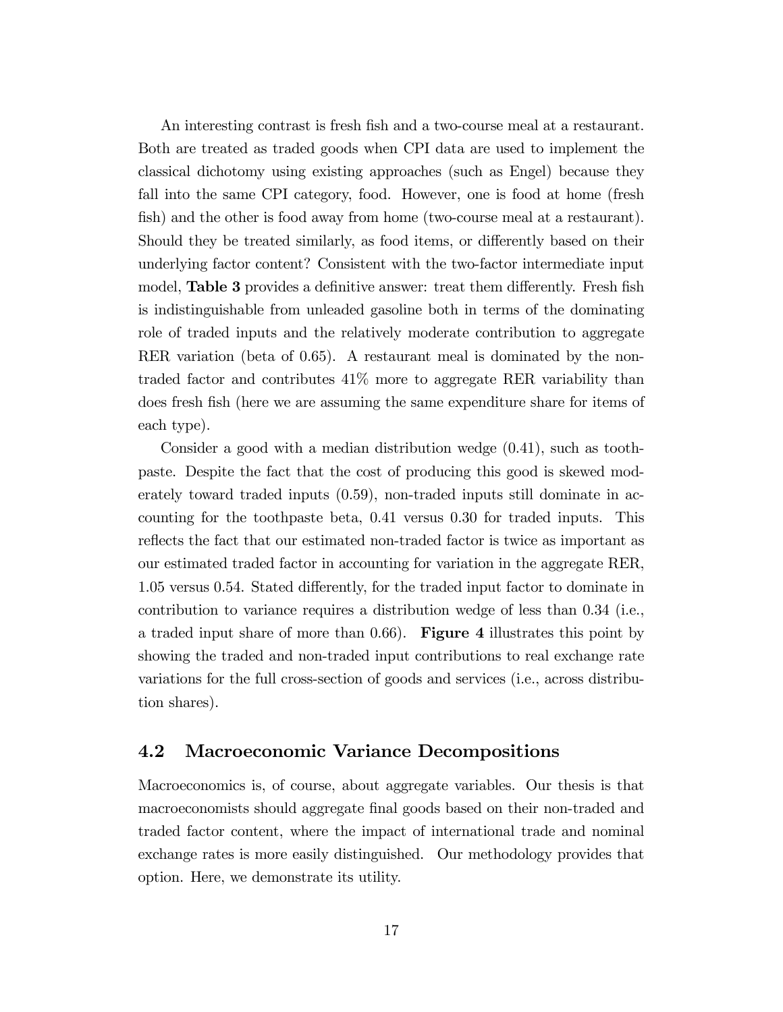An interesting contrast is fresh fish and a two-course meal at a restaurant. Both are treated as traded goods when CPI data are used to implement the classical dichotomy using existing approaches (such as Engel) because they fall into the same CPI category, food. However, one is food at home (fresh fish) and the other is food away from home (two-course meal at a restaurant). Should they be treated similarly, as food items, or differently based on their underlying factor content? Consistent with the two-factor intermediate input model, Table 3 provides a definitive answer: treat them differently. Fresh fish is indistinguishable from unleaded gasoline both in terms of the dominating role of traded inputs and the relatively moderate contribution to aggregate RER variation (beta of 0.65). A restaurant meal is dominated by the nontraded factor and contributes 41% more to aggregate RER variability than does fresh fish (here we are assuming the same expenditure share for items of each type).

Consider a good with a median distribution wedge (0.41), such as toothpaste. Despite the fact that the cost of producing this good is skewed moderately toward traded inputs (0.59), non-traded inputs still dominate in accounting for the toothpaste beta, 0.41 versus 0.30 for traded inputs. This reflects the fact that our estimated non-traded factor is twice as important as our estimated traded factor in accounting for variation in the aggregate RER, 1.05 versus 0.54. Stated differently, for the traded input factor to dominate in contribution to variance requires a distribution wedge of less than 0.34 (i.e., a traded input share of more than  $0.66$ ). Figure 4 illustrates this point by showing the traded and non-traded input contributions to real exchange rate variations for the full cross-section of goods and services (i.e., across distribution shares).

#### 4.2 Macroeconomic Variance Decompositions

Macroeconomics is, of course, about aggregate variables. Our thesis is that macroeconomists should aggregate final goods based on their non-traded and traded factor content, where the impact of international trade and nominal exchange rates is more easily distinguished. Our methodology provides that option. Here, we demonstrate its utility.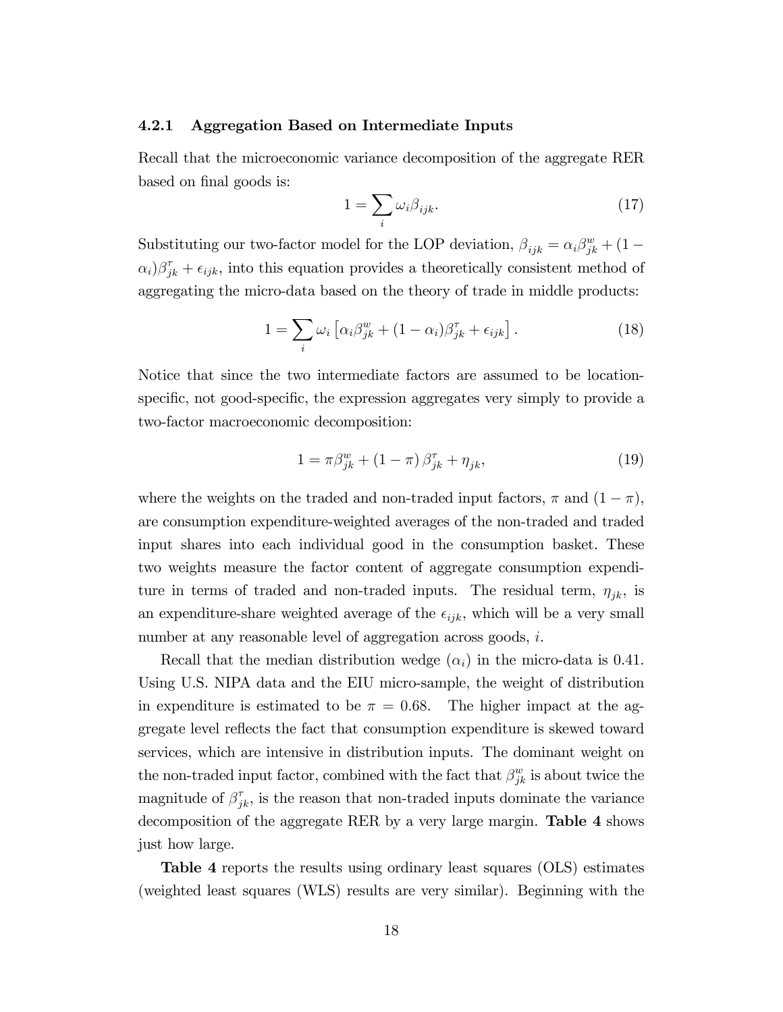#### 4.2.1 Aggregation Based on Intermediate Inputs

Recall that the microeconomic variance decomposition of the aggregate RER based on final goods is:

$$
1 = \sum_{i} \omega_i \beta_{ijk}.\tag{17}
$$

Substituting our two-factor model for the LOP deviation,  $\beta_{ijk} = \alpha_i \beta_{jk}^w + (1 \alpha_i$ ) $\beta_{jk}^{\tau} + \epsilon_{ijk}$ , into this equation provides a theoretically consistent method of aggregating the micro-data based on the theory of trade in middle products:

$$
1 = \sum_{i} \omega_i \left[ \alpha_i \beta_{jk}^w + (1 - \alpha_i) \beta_{jk}^{\tau} + \epsilon_{ijk} \right]. \tag{18}
$$

Notice that since the two intermediate factors are assumed to be locationspecific, not good-specific, the expression aggregates very simply to provide a two-factor macroeconomic decomposition:

$$
1 = \pi \beta_{jk}^w + (1 - \pi) \beta_{jk}^{\tau} + \eta_{jk}, \tag{19}
$$

where the weights on the traded and non-traded input factors,  $\pi$  and  $(1 - \pi)$ , are consumption expenditure-weighted averages of the non-traded and traded input shares into each individual good in the consumption basket. These two weights measure the factor content of aggregate consumption expenditure in terms of traded and non-traded inputs. The residual term,  $\eta_{jk}$ , is an expenditure-share weighted average of the  $\epsilon_{ijk}$ , which will be a very small number at any reasonable level of aggregation across goods, i.

Recall that the median distribution wedge  $(\alpha_i)$  in the micro-data is 0.41. Using U.S. NIPA data and the EIU micro-sample, the weight of distribution in expenditure is estimated to be  $\pi = 0.68$ . The higher impact at the aggregate level reflects the fact that consumption expenditure is skewed toward services, which are intensive in distribution inputs. The dominant weight on the non-traded input factor, combined with the fact that  $\beta_{jk}^w$  is about twice the magnitude of  $\beta_{jk}^{\tau}$ , is the reason that non-traded inputs dominate the variance decomposition of the aggregate RER by a very large margin. Table 4 shows just how large.

Table 4 reports the results using ordinary least squares (OLS) estimates (weighted least squares (WLS) results are very similar). Beginning with the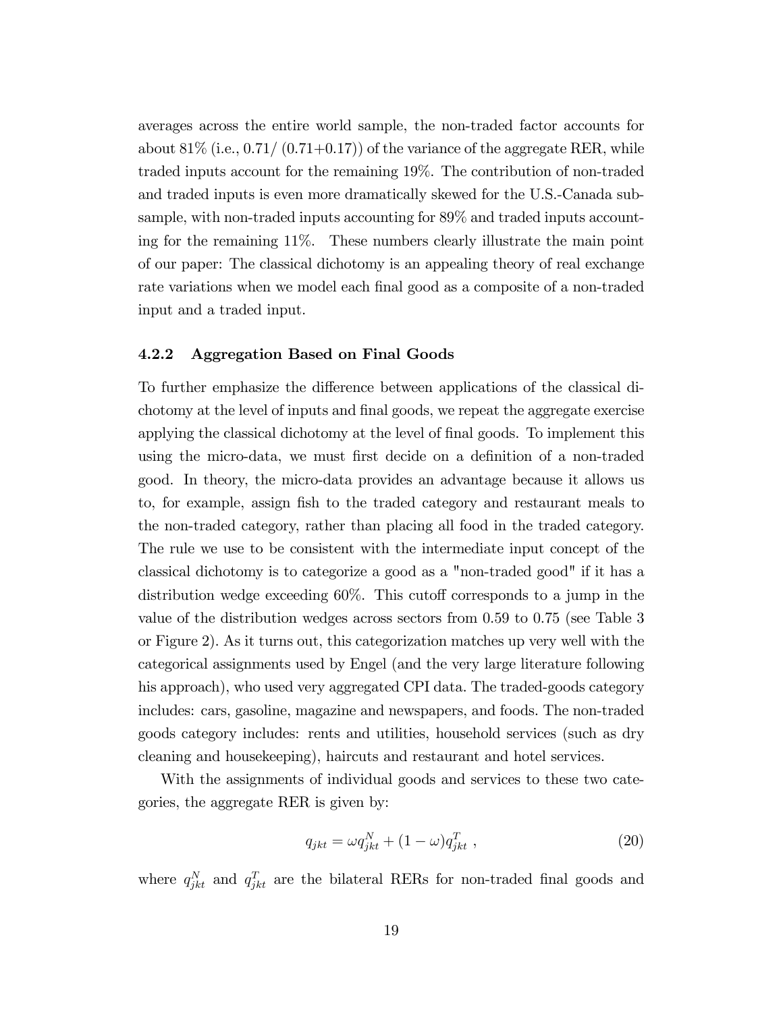averages across the entire world sample, the non-traded factor accounts for about  $81\%$  (i.e.,  $0.71/$   $(0.71+0.17)$ ) of the variance of the aggregate RER, while traded inputs account for the remaining 19%. The contribution of non-traded and traded inputs is even more dramatically skewed for the U.S.-Canada subsample, with non-traded inputs accounting for 89% and traded inputs accounting for the remaining 11%. These numbers clearly illustrate the main point of our paper: The classical dichotomy is an appealing theory of real exchange rate variations when we model each final good as a composite of a non-traded input and a traded input.

#### 4.2.2 Aggregation Based on Final Goods

To further emphasize the difference between applications of the classical dichotomy at the level of inputs and final goods, we repeat the aggregate exercise applying the classical dichotomy at the level of final goods. To implement this using the micro-data, we must first decide on a definition of a non-traded good. In theory, the micro-data provides an advantage because it allows us to, for example, assign Ösh to the traded category and restaurant meals to the non-traded category, rather than placing all food in the traded category. The rule we use to be consistent with the intermediate input concept of the classical dichotomy is to categorize a good as a "non-traded good" if it has a distribution wedge exceeding  $60\%$ . This cutoff corresponds to a jump in the value of the distribution wedges across sectors from 0.59 to 0.75 (see Table 3 or Figure 2). As it turns out, this categorization matches up very well with the categorical assignments used by Engel (and the very large literature following his approach), who used very aggregated CPI data. The traded-goods category includes: cars, gasoline, magazine and newspapers, and foods. The non-traded goods category includes: rents and utilities, household services (such as dry cleaning and housekeeping), haircuts and restaurant and hotel services.

With the assignments of individual goods and services to these two categories, the aggregate RER is given by:

$$
q_{jkt} = \omega q_{jkt}^N + (1 - \omega) q_{jkt}^T , \qquad (20)
$$

where  $q_{jkt}^N$  and  $q_{jkt}^T$  are the bilateral RERs for non-traded final goods and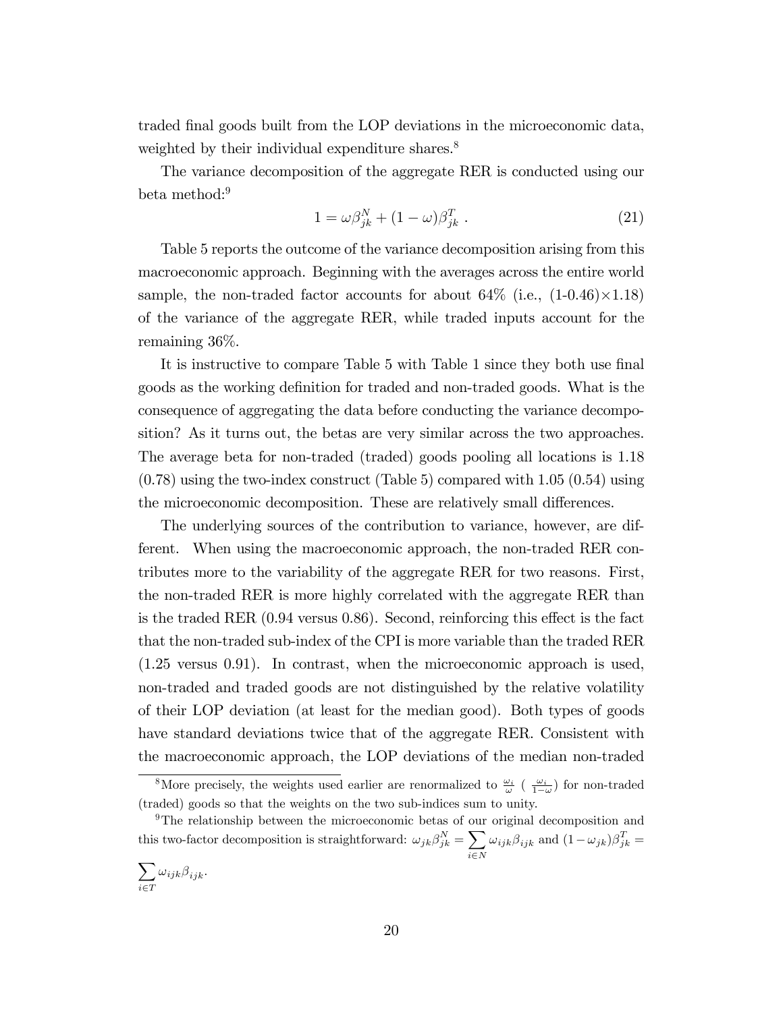traded final goods built from the LOP deviations in the microeconomic data, weighted by their individual expenditure shares.<sup>8</sup>

The variance decomposition of the aggregate RER is conducted using our beta method:<sup>9</sup>

$$
1 = \omega \beta_{jk}^N + (1 - \omega) \beta_{jk}^T . \qquad (21)
$$

Table 5 reports the outcome of the variance decomposition arising from this macroeconomic approach. Beginning with the averages across the entire world sample, the non-traded factor accounts for about  $64\%$  (i.e.,  $(1\n-0.46)\times1.18$ ) of the variance of the aggregate RER, while traded inputs account for the remaining 36%.

It is instructive to compare Table 5 with Table 1 since they both use final goods as the working definition for traded and non-traded goods. What is the consequence of aggregating the data before conducting the variance decomposition? As it turns out, the betas are very similar across the two approaches. The average beta for non-traded (traded) goods pooling all locations is 1.18 (0.78) using the two-index construct (Table 5) compared with 1.05 (0.54) using the microeconomic decomposition. These are relatively small differences.

The underlying sources of the contribution to variance, however, are different. When using the macroeconomic approach, the non-traded RER contributes more to the variability of the aggregate RER for two reasons. First, the non-traded RER is more highly correlated with the aggregate RER than is the traded RER  $(0.94 \text{ versus } 0.86)$ . Second, reinforcing this effect is the fact that the non-traded sub-index of the CPI is more variable than the traded RER (1.25 versus 0.91). In contrast, when the microeconomic approach is used, non-traded and traded goods are not distinguished by the relative volatility of their LOP deviation (at least for the median good). Both types of goods have standard deviations twice that of the aggregate RER. Consistent with the macroeconomic approach, the LOP deviations of the median non-traded

<sup>&</sup>lt;sup>8</sup>More precisely, the weights used earlier are renormalized to  $\frac{\omega_i}{\omega}$  ( $\frac{\omega_i}{1-\omega}$ ) for non-traded (traded) goods so that the weights on the two sub-indices sum to unity.

<sup>9</sup>The relationship between the microeconomic betas of our original decomposition and this two-factor decomposition is straightforward:  $\omega_{jk}\beta_{jk}^N = \sum$  $i\in\mathbb{N}$  $\omega_{ijk}\beta_{ijk}$  and  $(1-\omega_{jk})\beta_{jk}^T =$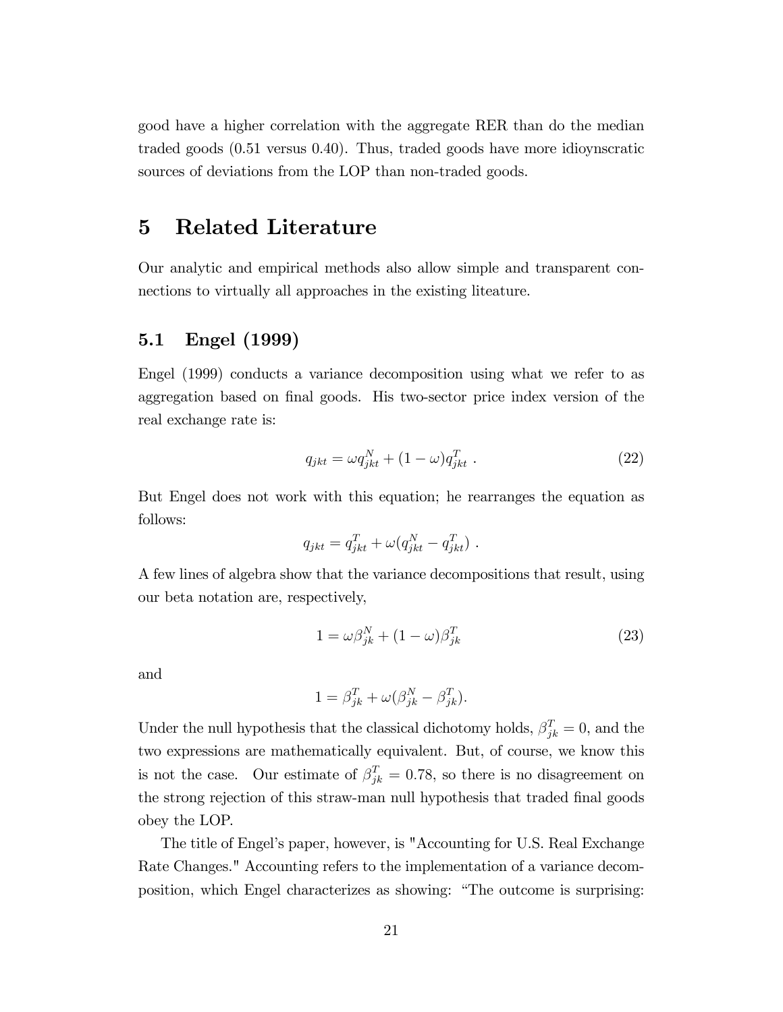good have a higher correlation with the aggregate RER than do the median traded goods (0.51 versus 0.40). Thus, traded goods have more idioynscratic sources of deviations from the LOP than non-traded goods.

## 5 Related Literature

Our analytic and empirical methods also allow simple and transparent connections to virtually all approaches in the existing liteature.

#### 5.1 Engel (1999)

Engel (1999) conducts a variance decomposition using what we refer to as aggregation based on final goods. His two-sector price index version of the real exchange rate is:

$$
q_{jkt} = \omega q_{jkt}^N + (1 - \omega) q_{jkt}^T . \qquad (22)
$$

But Engel does not work with this equation; he rearranges the equation as follows:

$$
q_{jkt} = q_{jkt}^T + \omega(q_{jkt}^N - q_{jkt}^T).
$$

A few lines of algebra show that the variance decompositions that result, using our beta notation are, respectively,

$$
1 = \omega \beta_{jk}^N + (1 - \omega) \beta_{jk}^T
$$
 (23)

and

$$
1 = \beta_{jk}^T + \omega(\beta_{jk}^N - \beta_{jk}^T).
$$

Under the null hypothesis that the classical dichotomy holds,  $\beta_{jk}^T = 0$ , and the two expressions are mathematically equivalent. But, of course, we know this is not the case. Our estimate of  $\beta_{jk}^T = 0.78$ , so there is no disagreement on the strong rejection of this straw-man null hypothesis that traded final goods obey the LOP.

The title of Engel's paper, however, is "Accounting for U.S. Real Exchange Rate Changes." Accounting refers to the implementation of a variance decomposition, which Engel characterizes as showing: "The outcome is surprising: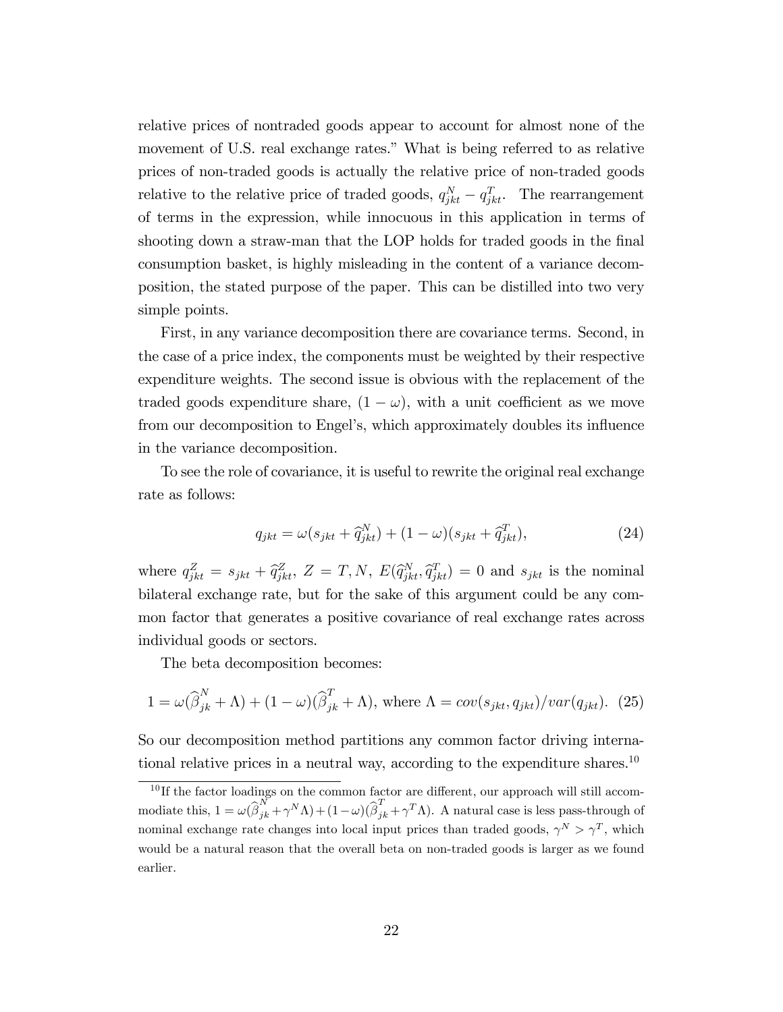relative prices of nontraded goods appear to account for almost none of the movement of U.S. real exchange rates." What is being referred to as relative prices of non-traded goods is actually the relative price of non-traded goods relative to the relative price of traded goods,  $q_{jkt}^N - q_{jkt}^T$ . The rearrangement of terms in the expression, while innocuous in this application in terms of shooting down a straw-man that the LOP holds for traded goods in the final consumption basket, is highly misleading in the content of a variance decomposition, the stated purpose of the paper. This can be distilled into two very simple points.

First, in any variance decomposition there are covariance terms. Second, in the case of a price index, the components must be weighted by their respective expenditure weights. The second issue is obvious with the replacement of the traded goods expenditure share,  $(1 - \omega)$ , with a unit coefficient as we move from our decomposition to Engel's, which approximately doubles its influence in the variance decomposition.

To see the role of covariance, it is useful to rewrite the original real exchange rate as follows:

$$
q_{jkt} = \omega(s_{jkt} + \widehat{q}_{jkt}^N) + (1 - \omega)(s_{jkt} + \widehat{q}_{jkt}^T),
$$
\n(24)

where  $q_{jkt}^Z = s_{jkt} + \hat{q}_{jkt}^Z$ ,  $Z = T, N$ ,  $E(\hat{q}_{jkt}^N, \hat{q}_{jkt}^T) = 0$  and  $s_{jkt}$  is the nominal bilateral exchange rate, but for the sake of this argument could be any common factor that generates a positive covariance of real exchange rates across individual goods or sectors.

The beta decomposition becomes:

$$
1 = \omega(\widehat{\beta}_{jk}^N + \Lambda) + (1 - \omega)(\widehat{\beta}_{jk}^T + \Lambda), \text{ where } \Lambda = cov(s_{jkt}, q_{jkt})/var(q_{jkt}). \tag{25}
$$

So our decomposition method partitions any common factor driving international relative prices in a neutral way, according to the expenditure shares.<sup>10</sup>

 $10$  If the factor loadings on the common factor are different, our approach will still accommodiate this,  $1 = \omega(\widehat{\beta}_{jk}^N + \gamma^N \Lambda) + (1 - \omega)(\widehat{\beta}_{jk}^T + \gamma^T \Lambda)$ . A natural case is less pass-through of nominal exchange rate changes into local input prices than traded goods,  $\gamma^N > \gamma^T$ , which would be a natural reason that the overall beta on non-traded goods is larger as we found earlier.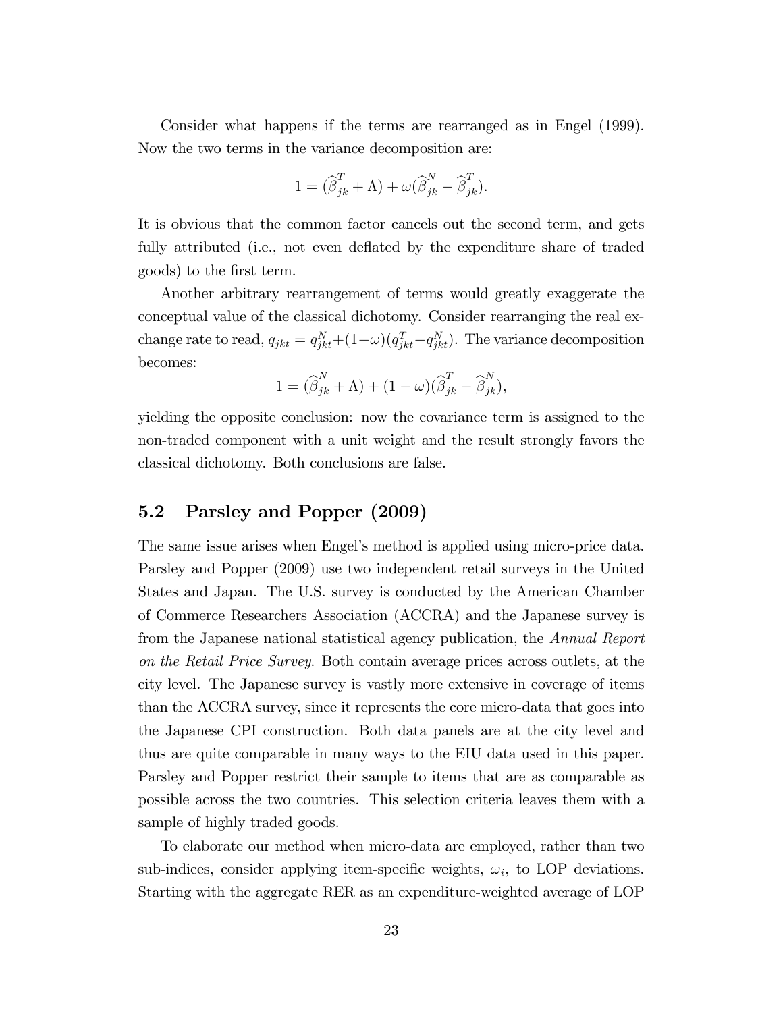Consider what happens if the terms are rearranged as in Engel (1999). Now the two terms in the variance decomposition are:

$$
1 = (\widehat{\beta}_{jk}^T + \Lambda) + \omega (\widehat{\beta}_{jk}^N - \widehat{\beta}_{jk}^T).
$$

It is obvious that the common factor cancels out the second term, and gets fully attributed (i.e., not even deflated by the expenditure share of traded goods) to the Örst term.

Another arbitrary rearrangement of terms would greatly exaggerate the conceptual value of the classical dichotomy. Consider rearranging the real exchange rate to read,  $q_{jkt} = q_{jkt}^N + (1 - \omega)(q_{jkt}^T - q_{jkt}^N)$ . The variance decomposition becomes:

$$
1 = (\widehat{\beta}_{jk}^N + \Lambda) + (1 - \omega)(\widehat{\beta}_{jk}^T - \widehat{\beta}_{jk}^N),
$$

yielding the opposite conclusion: now the covariance term is assigned to the non-traded component with a unit weight and the result strongly favors the classical dichotomy. Both conclusions are false.

#### 5.2 Parsley and Popper (2009)

The same issue arises when Engel's method is applied using micro-price data. Parsley and Popper (2009) use two independent retail surveys in the United States and Japan. The U.S. survey is conducted by the American Chamber of Commerce Researchers Association (ACCRA) and the Japanese survey is from the Japanese national statistical agency publication, the Annual Report on the Retail Price Survey. Both contain average prices across outlets, at the city level. The Japanese survey is vastly more extensive in coverage of items than the ACCRA survey, since it represents the core micro-data that goes into the Japanese CPI construction. Both data panels are at the city level and thus are quite comparable in many ways to the EIU data used in this paper. Parsley and Popper restrict their sample to items that are as comparable as possible across the two countries. This selection criteria leaves them with a sample of highly traded goods.

To elaborate our method when micro-data are employed, rather than two sub-indices, consider applying item-specific weights,  $\omega_i$ , to LOP deviations. Starting with the aggregate RER as an expenditure-weighted average of LOP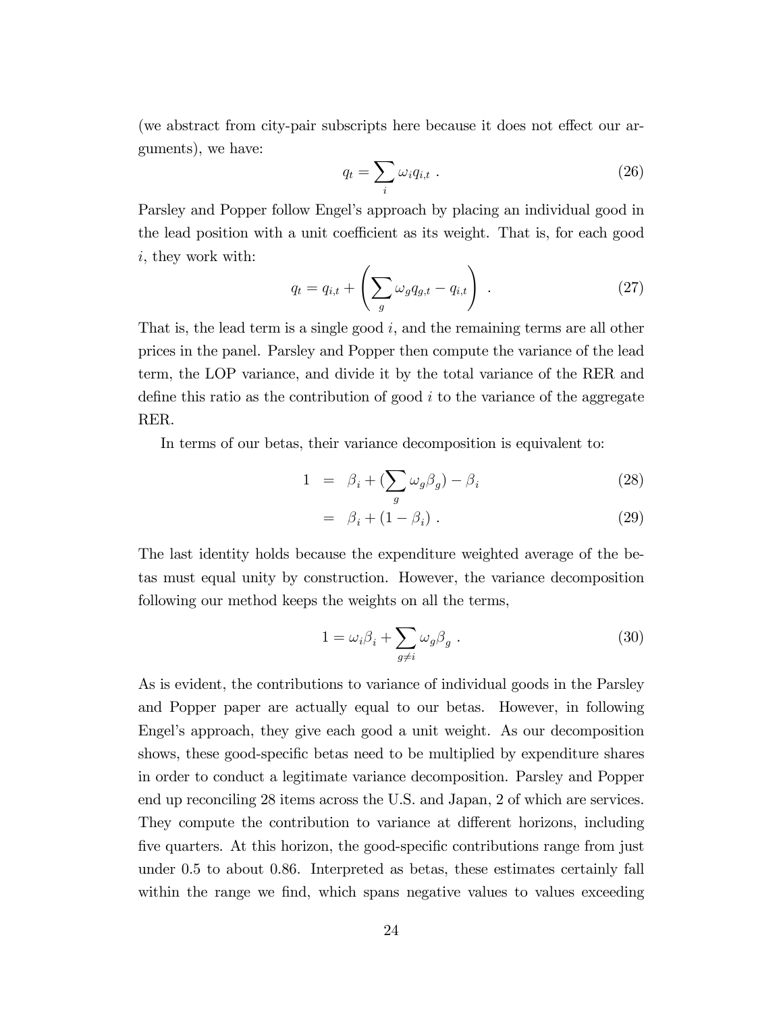(we abstract from city-pair subscripts here because it does not effect our arguments), we have:

$$
q_t = \sum_i \omega_i q_{i,t} \tag{26}
$$

Parsley and Popper follow Engel's approach by placing an individual good in the lead position with a unit coefficient as its weight. That is, for each good i, they work with:

$$
q_t = q_{i,t} + \left(\sum_g \omega_g q_{g,t} - q_{i,t}\right) \tag{27}
$$

That is, the lead term is a single good  $i$ , and the remaining terms are all other prices in the panel. Parsley and Popper then compute the variance of the lead term, the LOP variance, and divide it by the total variance of the RER and define this ratio as the contribution of good  $i$  to the variance of the aggregate RER.

In terms of our betas, their variance decomposition is equivalent to:

$$
1 = \beta_i + \left(\sum_g \omega_g \beta_g\right) - \beta_i \tag{28}
$$

$$
= \beta_i + (1 - \beta_i) \tag{29}
$$

The last identity holds because the expenditure weighted average of the betas must equal unity by construction. However, the variance decomposition following our method keeps the weights on all the terms,

$$
1 = \omega_i \beta_i + \sum_{g \neq i} \omega_g \beta_g . \tag{30}
$$

As is evident, the contributions to variance of individual goods in the Parsley and Popper paper are actually equal to our betas. However, in following Engel's approach, they give each good a unit weight. As our decomposition shows, these good-specific betas need to be multiplied by expenditure shares in order to conduct a legitimate variance decomposition. Parsley and Popper end up reconciling 28 items across the U.S. and Japan, 2 of which are services. They compute the contribution to variance at different horizons, including five quarters. At this horizon, the good-specific contributions range from just under 0.5 to about 0.86. Interpreted as betas, these estimates certainly fall within the range we find, which spans negative values to values exceeding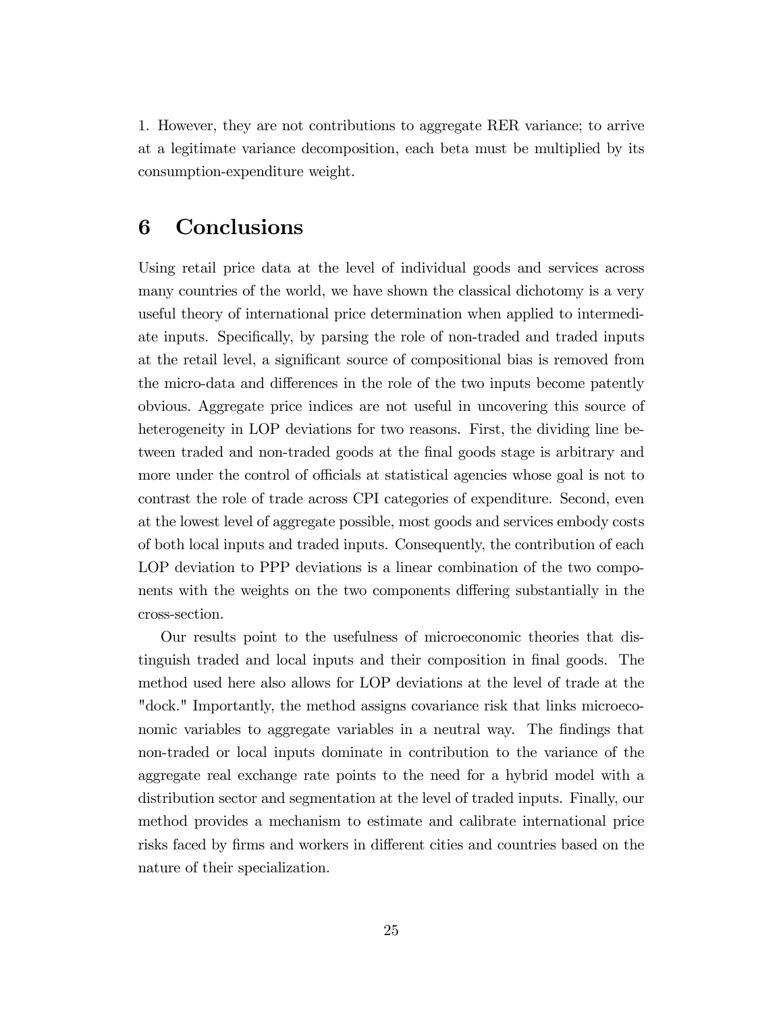1. However, they are not contributions to aggregate RER variance; to arrive at a legitimate variance decomposition, each beta must be multiplied by its consumption-expenditure weight.

## 6 Conclusions

Using retail price data at the level of individual goods and services across many countries of the world, we have shown the classical dichotomy is a very useful theory of international price determination when applied to intermediate inputs. Specifically, by parsing the role of non-traded and traded inputs at the retail level, a significant source of compositional bias is removed from the micro-data and differences in the role of the two inputs become patently obvious. Aggregate price indices are not useful in uncovering this source of heterogeneity in LOP deviations for two reasons. First, the dividing line between traded and non-traded goods at the final goods stage is arbitrary and more under the control of officials at statistical agencies whose goal is not to contrast the role of trade across CPI categories of expenditure. Second, even at the lowest level of aggregate possible, most goods and services embody costs of both local inputs and traded inputs. Consequently, the contribution of each LOP deviation to PPP deviations is a linear combination of the two components with the weights on the two components differing substantially in the cross-section.

Our results point to the usefulness of microeconomic theories that distinguish traded and local inputs and their composition in final goods. The method used here also allows for LOP deviations at the level of trade at the "dock." Importantly, the method assigns covariance risk that links microeconomic variables to aggregate variables in a neutral way. The findings that non-traded or local inputs dominate in contribution to the variance of the aggregate real exchange rate points to the need for a hybrid model with a distribution sector and segmentation at the level of traded inputs. Finally, our method provides a mechanism to estimate and calibrate international price risks faced by firms and workers in different cities and countries based on the nature of their specialization.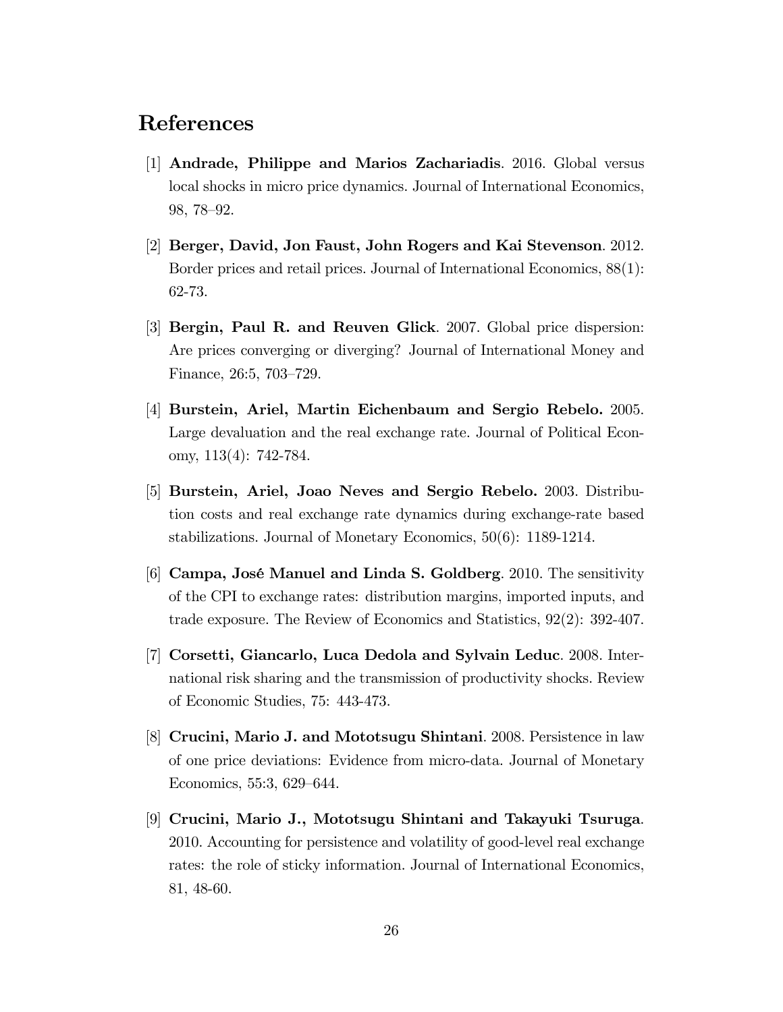## References

- [1] Andrade, Philippe and Marios Zachariadis. 2016. Global versus local shocks in micro price dynamics. Journal of International Economics, 98, 78–92.
- [2] Berger, David, Jon Faust, John Rogers and Kai Stevenson. 2012. Border prices and retail prices. Journal of International Economics, 88(1): 62-73.
- [3] Bergin, Paul R. and Reuven Glick. 2007. Global price dispersion: Are prices converging or diverging? Journal of International Money and Finance,  $26:5, 703-729$ .
- [4] Burstein, Ariel, Martin Eichenbaum and Sergio Rebelo. 2005. Large devaluation and the real exchange rate. Journal of Political Economy, 113(4): 742-784.
- [5] Burstein, Ariel, Joao Neves and Sergio Rebelo. 2003. Distribution costs and real exchange rate dynamics during exchange-rate based stabilizations. Journal of Monetary Economics, 50(6): 1189-1214.
- [6] Campa, JosÈ Manuel and Linda S. Goldberg. 2010. The sensitivity of the CPI to exchange rates: distribution margins, imported inputs, and trade exposure. The Review of Economics and Statistics, 92(2): 392-407.
- [7] Corsetti, Giancarlo, Luca Dedola and Sylvain Leduc. 2008. International risk sharing and the transmission of productivity shocks. Review of Economic Studies, 75: 443-473.
- [8] Crucini, Mario J. and Mototsugu Shintani. 2008. Persistence in law of one price deviations: Evidence from micro-data. Journal of Monetary Economics, 55:3, 629–644.
- [9] Crucini, Mario J., Mototsugu Shintani and Takayuki Tsuruga. 2010. Accounting for persistence and volatility of good-level real exchange rates: the role of sticky information. Journal of International Economics, 81, 48-60.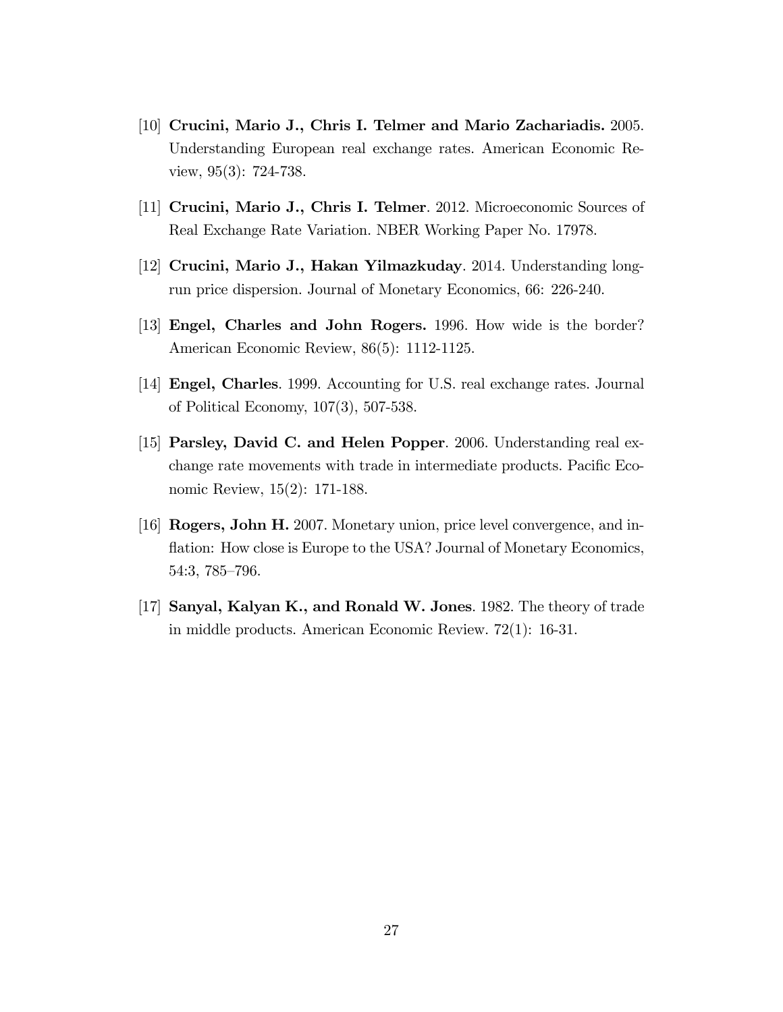- [10] Crucini, Mario J., Chris I. Telmer and Mario Zachariadis. 2005. Understanding European real exchange rates. American Economic Review, 95(3): 724-738.
- [11] Crucini, Mario J., Chris I. Telmer. 2012. Microeconomic Sources of Real Exchange Rate Variation. NBER Working Paper No. 17978.
- [12] Crucini, Mario J., Hakan Yilmazkuday. 2014. Understanding longrun price dispersion. Journal of Monetary Economics, 66: 226-240.
- [13] Engel, Charles and John Rogers. 1996. How wide is the border? American Economic Review, 86(5): 1112-1125.
- [14] Engel, Charles. 1999. Accounting for U.S. real exchange rates. Journal of Political Economy, 107(3), 507-538.
- [15] Parsley, David C. and Helen Popper. 2006. Understanding real exchange rate movements with trade in intermediate products. Pacific Economic Review, 15(2): 171-188.
- [16] Rogers, John H. 2007. Monetary union, price level convergence, and inflation: How close is Europe to the USA? Journal of Monetary Economics, 54:3, 785-796.
- [17] Sanyal, Kalyan K., and Ronald W. Jones. 1982. The theory of trade in middle products. American Economic Review. 72(1): 16-31.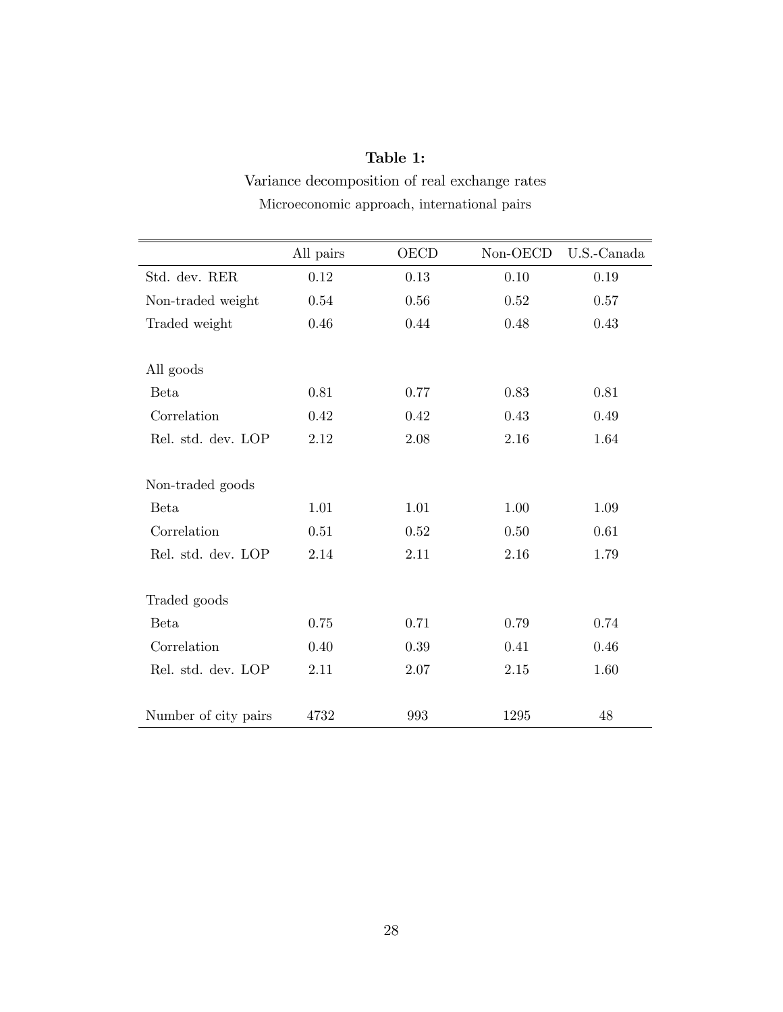## Table 1:

Variance decomposition of real exchange rates Microeconomic approach, international pairs

|                      | All pairs $\,$ | <b>OECD</b> | Non-OECD | U.S.-Canada |
|----------------------|----------------|-------------|----------|-------------|
| Std. dev. RER        | 0.12           | 0.13        | 0.10     | 0.19        |
| Non-traded weight    | 0.54           | 0.56        | 0.52     | 0.57        |
| Traded weight        | 0.46           | 0.44        | 0.48     | 0.43        |
| All goods            |                |             |          |             |
| <b>Beta</b>          | 0.81           | 0.77        | 0.83     | 0.81        |
| Correlation          | 0.42           | 0.42        | 0.43     | 0.49        |
| Rel. std. dev. LOP   | 2.12           | 2.08        | 2.16     | 1.64        |
| Non-traded goods     |                |             |          |             |
| <b>Beta</b>          | 1.01           | 1.01        | 1.00     | 1.09        |
| Correlation          | 0.51           | 0.52        | 0.50     | 0.61        |
| Rel. std. dev. LOP   | 2.14           | 2.11        | 2.16     | 1.79        |
| Traded goods         |                |             |          |             |
| <b>Beta</b>          | 0.75           | 0.71        | 0.79     | 0.74        |
| Correlation          | 0.40           | 0.39        | 0.41     | 0.46        |
| Rel. std. dev. LOP   | 2.11           | 2.07        | 2.15     | 1.60        |
| Number of city pairs | 4732           | 993         | 1295     | 48          |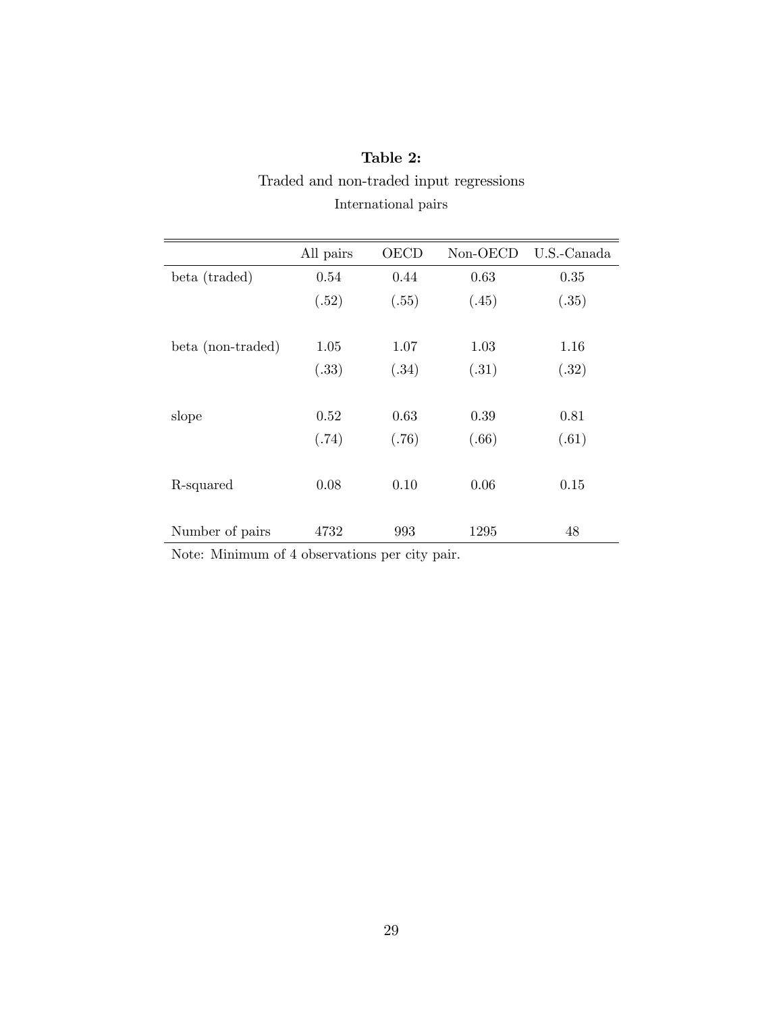|                   | All pairs | OECD  | Non-OECD | U.S.-Canada |
|-------------------|-----------|-------|----------|-------------|
| beta (traded)     | 0.54      | 0.44  | 0.63     | 0.35        |
|                   | (.52)     | (.55) | (.45)    | (.35)       |
| beta (non-traded) | 1.05      | 1.07  | 1.03     | 1.16        |
|                   | (.33)     | (.34) | (.31)    | (.32)       |
| slope             | 0.52      | 0.63  | 0.39     | 0.81        |
|                   | (.74)     | (.76) | (.66)    | (.61)       |
| R-squared         | 0.08      | 0.10  | 0.06     | 0.15        |
| Number of pairs   | 4732      | 993   | 1295     | 48          |

## Table 2: Traded and non-traded input regressions International pairs

Note: Minimum of 4 observations per city pair.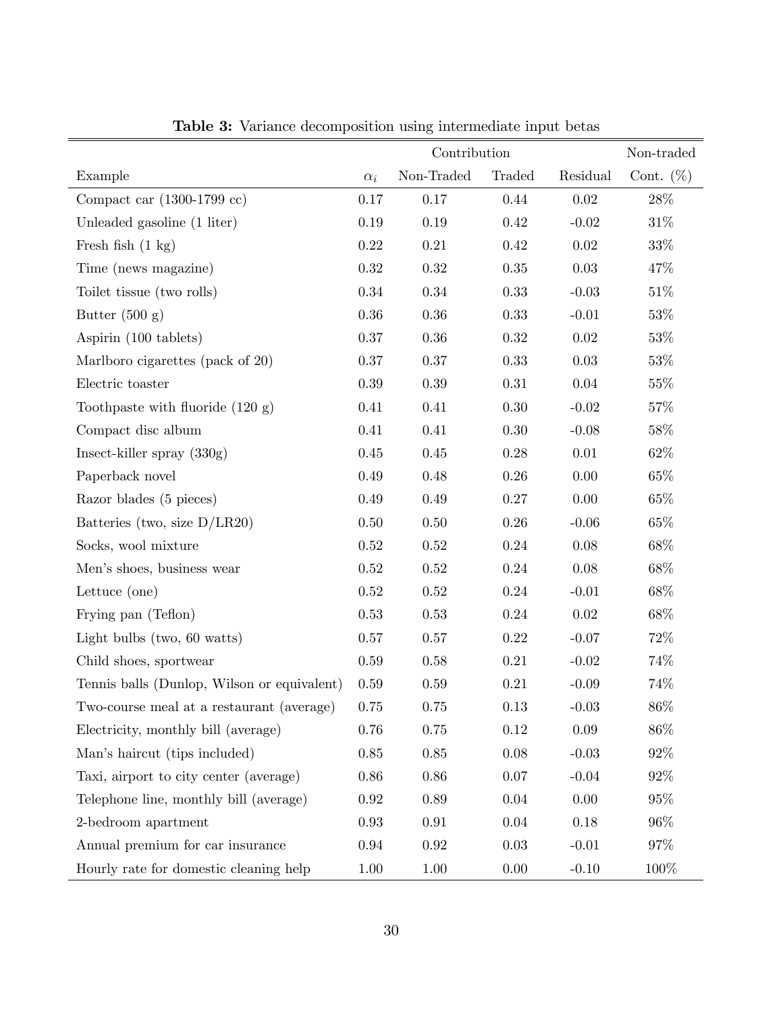|                                                  |            | Contribution |          |          | Non-traded   |
|--------------------------------------------------|------------|--------------|----------|----------|--------------|
| Example                                          | $\alpha_i$ | Non-Traded   | Traded   | Residual | Cont. $(\%)$ |
| Compact car $(1300-1799 \text{ cc})$             | 0.17       | 0.17         | 0.44     | $0.02\,$ | 28\%         |
| Unleaded gasoline (1 liter)                      | $0.19\,$   | 0.19         | $0.42\,$ | $-0.02$  | $31\%$       |
| Fresh fish $(1 \text{ kg})$                      | $0.22\,$   | $0.21\,$     | 0.42     | $0.02\,$ | $33\%$       |
| Time (news magazine)                             | $0.32\,$   | $0.32\,$     | $0.35\,$ | $0.03\,$ | 47\%         |
| Toilet tissue (two rolls)                        | $0.34\,$   | 0.34         | 0.33     | $-0.03$  | 51\%         |
| Butter $(500 g)$                                 | $0.36\,$   | $0.36\,$     | 0.33     | $-0.01$  | $53\%$       |
| Aspirin (100 tablets)                            | $0.37\,$   | $0.36\,$     | $0.32\,$ | $0.02\,$ | 53\%         |
| Marlboro cigarettes (pack of 20)                 | $0.37\,$   | $0.37\,$     | $0.33\,$ | $0.03\,$ | $53\%$       |
| Electric toaster                                 | 0.39       | $0.39\,$     | 0.31     | 0.04     | $55\%$       |
| Toothpaste with fluoride $(120 g)$               | 0.41       | 0.41         | $0.30\,$ | $-0.02$  | 57\%         |
| Compact disc album                               | 0.41       | 0.41         | 0.30     | $-0.08$  | $58\%$       |
| Insect-killer spray $(330g)$                     | $0.45\,$   | $0.45\,$     | $0.28\,$ | $0.01\,$ | 62\%         |
| Paperback novel                                  | 0.49       | 0.48         | 0.26     | 0.00     | $65\%$       |
| Razor blades (5 pieces)                          | 0.49       | 0.49         | $0.27\,$ | $0.00\,$ | $65\%$       |
| Batteries (two, size $D/LR20$ )                  | $0.50\,$   | $0.50\,$     | $0.26\,$ | $-0.06$  | $65\%$       |
| Socks, wool mixture                              | $0.52\,$   | $0.52\,$     | 0.24     | $0.08\,$ | $68\%$       |
| Men's shoes, business wear                       | $0.52\,$   | $0.52\,$     | 0.24     | $0.08\,$ | $68\%$       |
| Lettuce (one)                                    | $0.52\,$   | $0.52\,$     | 0.24     | $-0.01$  | $68\%$       |
| Frying pan (Teflon)                              | 0.53       | 0.53         | 0.24     | 0.02     | $68\%$       |
| Light bulbs (two, $60$ watts)                    | $0.57\,$   | $0.57\,$     | 0.22     | $-0.07$  | $72\%$       |
| Child shoes, sportwear                           | 0.59       | 0.58         | 0.21     | $-0.02$  | 74%          |
| Tennis balls (Dunlop, Wilson or equivalent)      | 0.59       | 0.59         | $0.21\,$ | $-0.09$  | 74%          |
| Two-course meal at a restaurant (average) $0.75$ |            | 0.75         | 0.13     | $-0.03$  | $86\%$       |
| Electricity, monthly bill (average)              | 0.76       | 0.75         | 0.12     | 0.09     | 86\%         |
| Man's haircut (tips included)                    | $0.85\,$   | $0.85\,$     | $0.08\,$ | $-0.03$  | 92%          |
| Taxi, airport to city center (average)           | 0.86       | $0.86\,$     | 0.07     | $-0.04$  | 92%          |
| Telephone line, monthly bill (average)           | 0.92       | 0.89         | 0.04     | $0.00\,$ | 95%          |
| 2-bedroom apartment                              | 0.93       | $\,0.91$     | 0.04     | 0.18     | 96\%         |
| Annual premium for car insurance                 | $\rm 0.94$ | $\rm 0.92$   | $0.03\,$ | $-0.01$  | 97%          |
| Hourly rate for domestic cleaning help           | 1.00       | $1.00\,$     | 0.00     | $-0.10$  | 100%         |

Table 3: Variance decomposition using intermediate input betas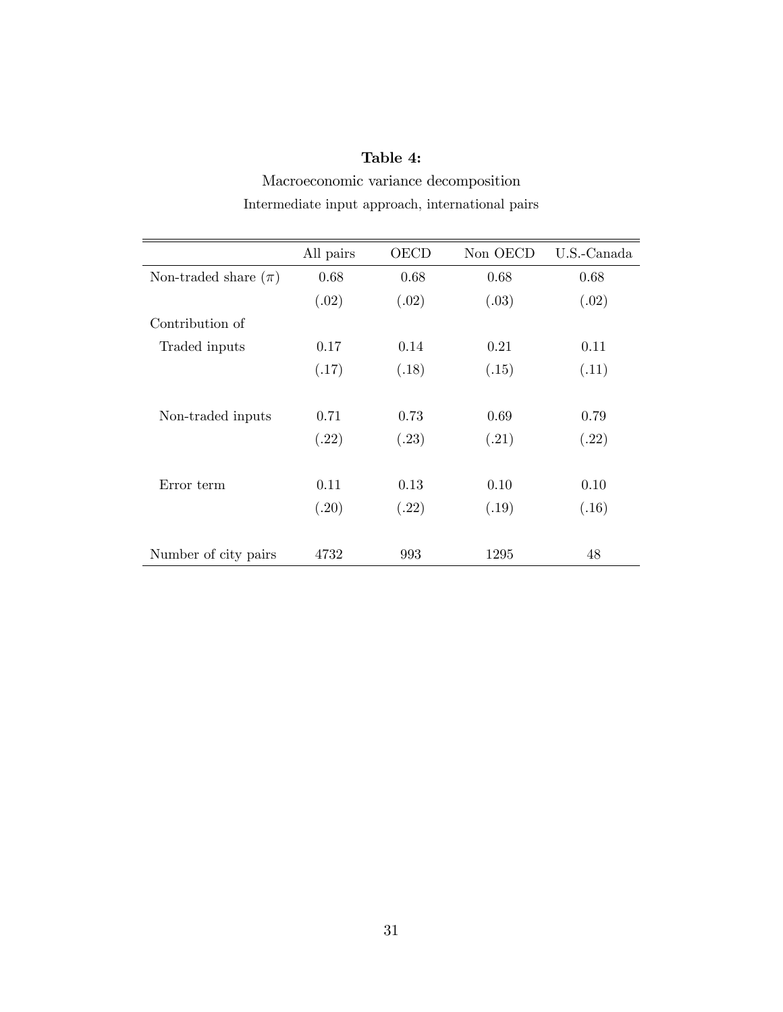### Table 4:

Macroeconomic variance decomposition Intermediate input approach, international pairs

|                          | All pairs | <b>OECD</b> | Non OECD | U.S.-Canada |
|--------------------------|-----------|-------------|----------|-------------|
| Non-traded share $(\pi)$ | 0.68      | 0.68        | 0.68     | 0.68        |
|                          | (.02)     | (.02)       | (.03)    | (.02)       |
| Contribution of          |           |             |          |             |
| Traded inputs            | 0.17      | 0.14        | 0.21     | 0.11        |
|                          | (.17)     | (.18)       | (.15)    | (.11)       |
|                          |           |             |          |             |
| Non-traded inputs        | 0.71      | 0.73        | 0.69     | 0.79        |
|                          | (.22)     | (.23)       | (.21)    | (.22)       |
|                          |           |             |          |             |
| Error term               | 0.11      | 0.13        | 0.10     | 0.10        |
|                          | (.20)     | (.22)       | (.19)    | (.16)       |
|                          |           |             |          |             |
| Number of city pairs     | 4732      | 993         | 1295     | 48          |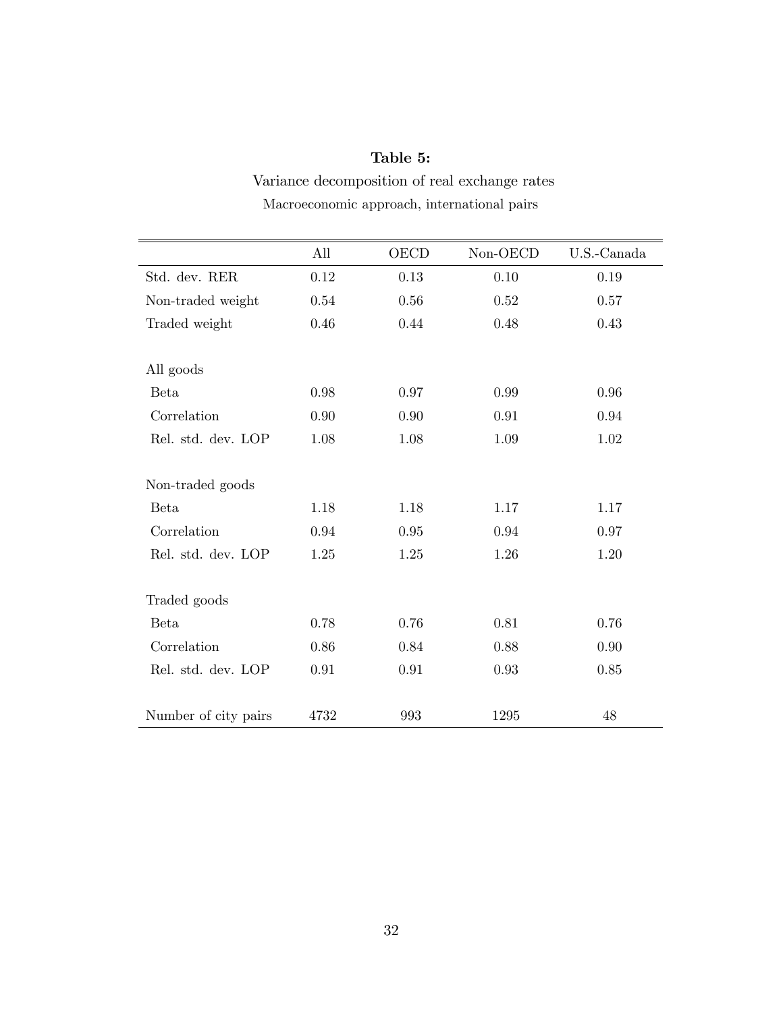## Table 5:

Variance decomposition of real exchange rates Macroeconomic approach, international pairs

|                      | All  | <b>OECD</b> | $Non-OECD$ | U.S.-Canada |  |
|----------------------|------|-------------|------------|-------------|--|
| Std. dev. RER        | 0.12 | 0.13        | 0.10       | 0.19        |  |
| Non-traded weight    | 0.54 | 0.56        | 0.52       | 0.57        |  |
| Traded weight        | 0.46 | 0.44        | 0.48       | 0.43        |  |
| All goods            |      |             |            |             |  |
| <b>Beta</b>          | 0.98 | 0.97        | 0.99       | 0.96        |  |
| Correlation          | 0.90 | 0.90        | 0.91       | 0.94        |  |
| Rel. std. dev. LOP   | 1.08 | 1.08        | 1.09       | 1.02        |  |
| Non-traded goods     |      |             |            |             |  |
| <b>Beta</b>          | 1.18 | 1.18        | 1.17       | 1.17        |  |
| Correlation          | 0.94 | 0.95        | 0.94       | 0.97        |  |
| Rel. std. dev. LOP   | 1.25 | 1.25        | 1.26       | 1.20        |  |
| Traded goods         |      |             |            |             |  |
| <b>Beta</b>          | 0.78 | 0.76        | 0.81       | 0.76        |  |
| Correlation          | 0.86 | 0.84        | 0.88       | 0.90        |  |
| Rel. std. dev. LOP   | 0.91 | 0.91        | 0.93       | 0.85        |  |
| Number of city pairs | 4732 | 993         | 1295       | 48          |  |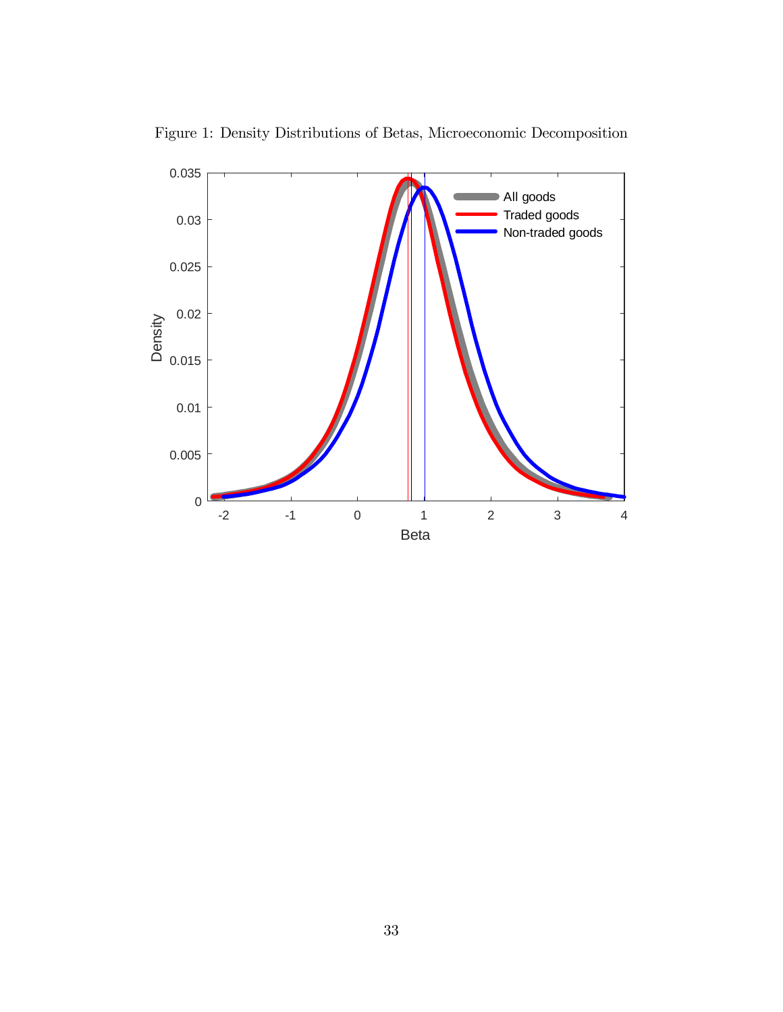

Figure 1: Density Distributions of Betas, Microeconomic Decomposition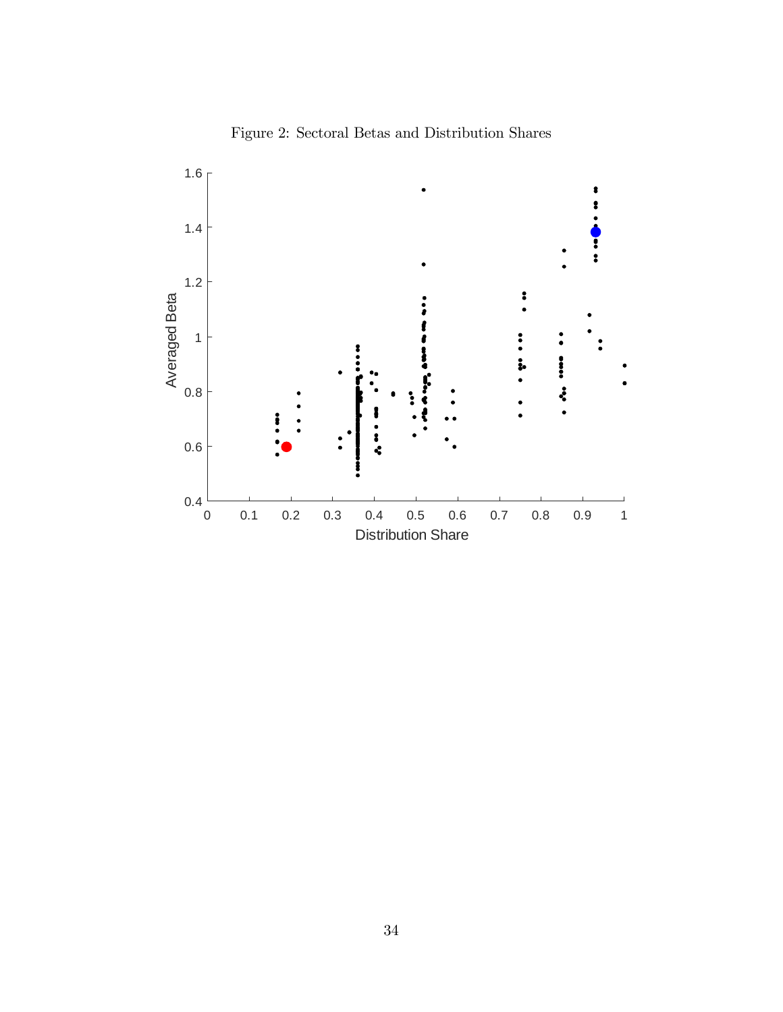

Figure 2: Sectoral Betas and Distribution Shares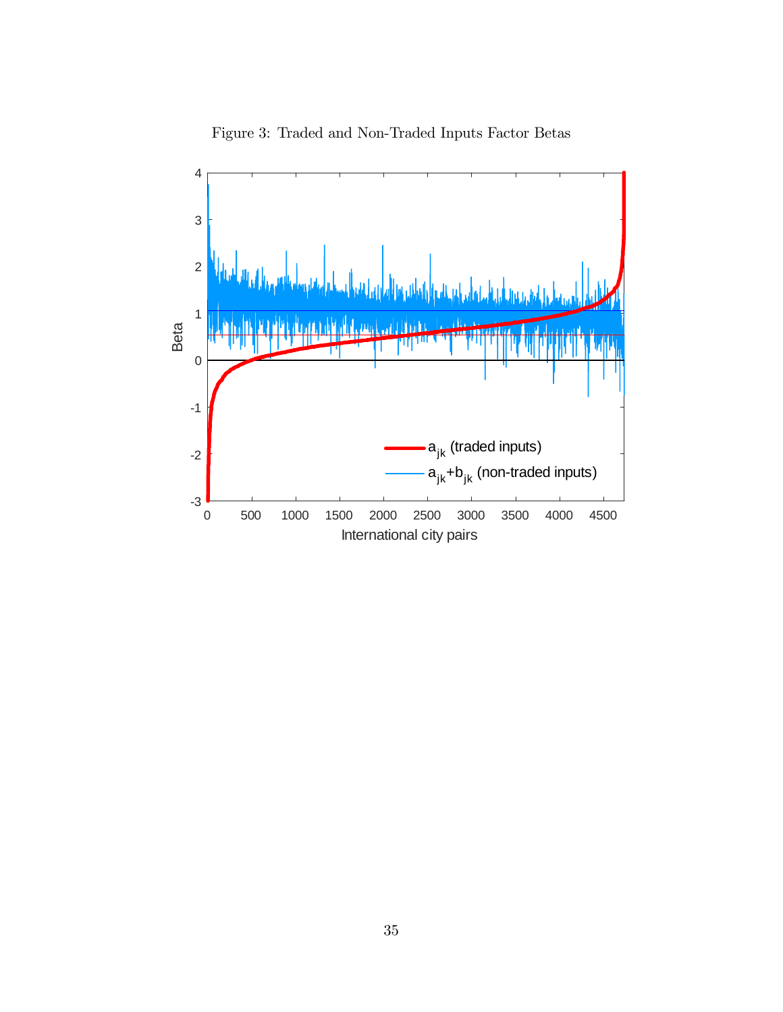

Figure 3: Traded and Non-Traded Inputs Factor Betas